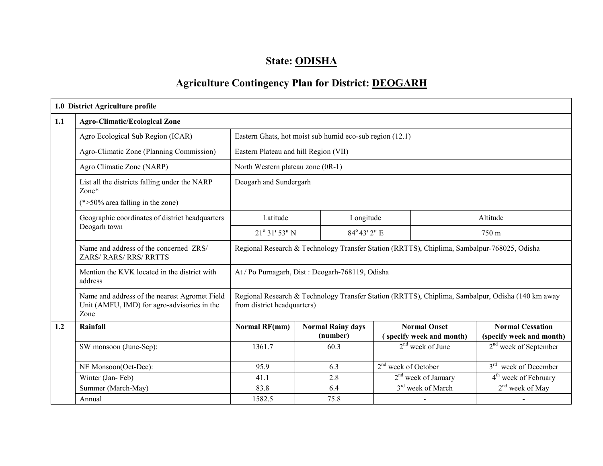# State: ODISHA

# Agriculture Contingency Plan for District: DEOGARH

|     | 1.0 District Agriculture profile                                                                     |                                                          |                          |                                                                                             |                                 |                               |                                                                                                   |  |  |
|-----|------------------------------------------------------------------------------------------------------|----------------------------------------------------------|--------------------------|---------------------------------------------------------------------------------------------|---------------------------------|-------------------------------|---------------------------------------------------------------------------------------------------|--|--|
| 1.1 | <b>Agro-Climatic/Ecological Zone</b>                                                                 |                                                          |                          |                                                                                             |                                 |                               |                                                                                                   |  |  |
|     | Agro Ecological Sub Region (ICAR)                                                                    | Eastern Ghats, hot moist sub humid eco-sub region (12.1) |                          |                                                                                             |                                 |                               |                                                                                                   |  |  |
|     | Agro-Climatic Zone (Planning Commission)                                                             | Eastern Plateau and hill Region (VII)                    |                          |                                                                                             |                                 |                               |                                                                                                   |  |  |
|     | Agro Climatic Zone (NARP)                                                                            | North Western plateau zone (0R-1)                        |                          |                                                                                             |                                 |                               |                                                                                                   |  |  |
|     | List all the districts falling under the NARP<br>$Zone*$<br>$(*>50\%$ area falling in the zone)      | Deogarh and Sundergarh                                   |                          |                                                                                             |                                 |                               |                                                                                                   |  |  |
|     | Geographic coordinates of district headquarters                                                      | Latitude                                                 |                          | Longitude                                                                                   |                                 | Altitude                      |                                                                                                   |  |  |
|     | Deogarh town                                                                                         | 21° 31' 53" N                                            |                          | 84° 43' 2" E                                                                                |                                 | 750 m                         |                                                                                                   |  |  |
|     | Name and address of the concerned ZRS/<br>ZARS/ RARS/ RRS/ RRTTS                                     |                                                          |                          | Regional Research & Technology Transfer Station (RRTTS), Chiplima, Sambalpur-768025, Odisha |                                 |                               |                                                                                                   |  |  |
|     | Mention the KVK located in the district with<br>address                                              | At / Po Purnagarh, Dist : Deogarh-768119, Odisha         |                          |                                                                                             |                                 |                               |                                                                                                   |  |  |
|     | Name and address of the nearest Agromet Field<br>Unit (AMFU, IMD) for agro-advisories in the<br>Zone | from district headquarters)                              |                          |                                                                                             |                                 |                               | Regional Research & Technology Transfer Station (RRTTS), Chiplima, Sambalpur, Odisha (140 km away |  |  |
| 1.2 | Rainfall                                                                                             | <b>Normal RF(mm)</b>                                     | <b>Normal Rainy days</b> |                                                                                             |                                 | <b>Normal Onset</b>           | <b>Normal Cessation</b>                                                                           |  |  |
|     |                                                                                                      |                                                          |                          | (number)                                                                                    |                                 | (specify week and month)      | (specify week and month)                                                                          |  |  |
|     | SW monsoon (June-Sep):                                                                               | 1361.7                                                   | 60.3                     |                                                                                             |                                 | $2nd$ week of June            | $2nd$ week of September                                                                           |  |  |
|     | NE Monsoon(Oct-Dec):                                                                                 | 95.9                                                     | 6.3                      |                                                                                             | 2 <sup>nd</sup> week of October |                               | 3 <sup>rd</sup> week of December                                                                  |  |  |
|     | Winter (Jan-Feb)                                                                                     | 41.1                                                     | 2.8                      |                                                                                             |                                 | $2nd$ week of January         | 4 <sup>th</sup> week of February                                                                  |  |  |
|     | Summer (March-May)                                                                                   | 83.8                                                     | 6.4                      |                                                                                             |                                 | 3 <sup>rd</sup> week of March | $2nd$ week of May                                                                                 |  |  |
|     | Annual                                                                                               | 1582.5                                                   | 75.8                     |                                                                                             |                                 |                               |                                                                                                   |  |  |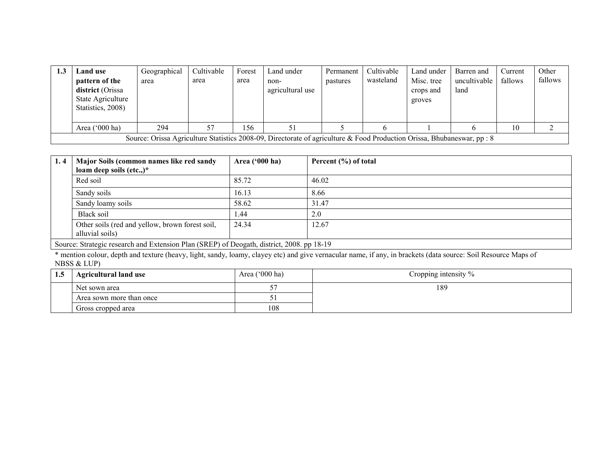| 1.3 | Land use<br>pattern of the<br><b>district</b> (Orissa<br>State Agriculture<br>Statistics, 2008) | Geographical<br>area                                                                                                    | Cultivable<br>area | Forest<br>area | Land under<br>non-<br>agricultural use | Permanent<br>pastures | Cultivable<br>wasteland | Land under<br>Misc. tree<br>crops and<br>groves | Barren and<br>uncultivable<br>land | Current<br>fallows | Other<br>fallows |  |  |
|-----|-------------------------------------------------------------------------------------------------|-------------------------------------------------------------------------------------------------------------------------|--------------------|----------------|----------------------------------------|-----------------------|-------------------------|-------------------------------------------------|------------------------------------|--------------------|------------------|--|--|
|     | Area ('000 ha)                                                                                  | 294                                                                                                                     |                    | 156            |                                        |                       |                         |                                                 |                                    | 10                 |                  |  |  |
|     |                                                                                                 | Source: Orissa Agriculture Statistics 2008-09, Directorate of agriculture & Food Production Orissa, Bhubaneswar, pp : 8 |                    |                |                                        |                       |                         |                                                 |                                    |                    |                  |  |  |

| 1.4 | Major Soils (common names like red sandy                                                  | Area $('000 ha)$ | Percent $(\% )$ of total |
|-----|-------------------------------------------------------------------------------------------|------------------|--------------------------|
|     | loam deep soils (etc.,)*                                                                  |                  |                          |
|     | Red soil                                                                                  | 85.72            | 46.02                    |
|     | Sandy soils                                                                               | 16.13            | 8.66                     |
|     | Sandy loamy soils                                                                         | 58.62            | 31.47                    |
|     | Black soil                                                                                | .44              | 2.0                      |
|     | Other soils (red and yellow, brown forest soil,<br>alluvial soils)                        | 24.34            | 12.67                    |
|     | Source: Strategic research and Extension Plan (SREP) of Deogath, district, 2008. pp 18-19 |                  |                          |

Source: Strategic research and Extension Plan (SREP) of Deogath, district, 2008. pp 18-19<br>\* mention colour, depth and texture (heavy, light, sandy, loamy, clayey etc) and give vernacular name, if any, in brackets (data sou

| 1.5 | <b>Agricultural land use</b> | Area $('000 ha)$ | Cropping intensity % |
|-----|------------------------------|------------------|----------------------|
|     | Net sown area                |                  | 189                  |
|     | Area sown more than once     |                  |                      |
|     | Gross cropped area           | 108              |                      |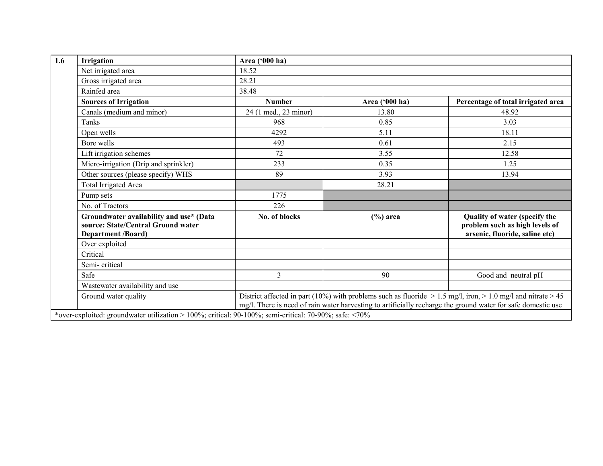| Irrigation                                                                                                 | Area ('000 ha)        |                |                                                                                                                                                                                                                                    |
|------------------------------------------------------------------------------------------------------------|-----------------------|----------------|------------------------------------------------------------------------------------------------------------------------------------------------------------------------------------------------------------------------------------|
| Net irrigated area                                                                                         | 18.52                 |                |                                                                                                                                                                                                                                    |
| Gross irrigated area                                                                                       | 28.21                 |                |                                                                                                                                                                                                                                    |
| Rainfed area                                                                                               | 38.48                 |                |                                                                                                                                                                                                                                    |
| <b>Sources of Irrigation</b>                                                                               | <b>Number</b>         | Area ('000 ha) | Percentage of total irrigated area                                                                                                                                                                                                 |
| Canals (medium and minor)                                                                                  | 24 (1 med., 23 minor) | 13.80          | 48.92                                                                                                                                                                                                                              |
| Tanks                                                                                                      | 968                   | 0.85           | 3.03                                                                                                                                                                                                                               |
| Open wells                                                                                                 | 4292                  | 5.11           | 18.11                                                                                                                                                                                                                              |
| Bore wells                                                                                                 | 493                   | 0.61           | 2.15                                                                                                                                                                                                                               |
| Lift irrigation schemes                                                                                    | 72                    | 3.55           | 12.58                                                                                                                                                                                                                              |
| Micro-irrigation (Drip and sprinkler)                                                                      | 233                   | 0.35           | 1.25                                                                                                                                                                                                                               |
| Other sources (please specify) WHS                                                                         | 89                    | 3.93           | 13.94                                                                                                                                                                                                                              |
| <b>Total Irrigated Area</b>                                                                                |                       | 28.21          |                                                                                                                                                                                                                                    |
| Pump sets                                                                                                  | 1775                  |                |                                                                                                                                                                                                                                    |
| No. of Tractors                                                                                            | 226                   |                |                                                                                                                                                                                                                                    |
| Groundwater availability and use* (Data<br>source: State/Central Ground water<br><b>Department /Board)</b> | No. of blocks         | $(\% )$ area   | Quality of water (specify the<br>problem such as high levels of<br>arsenic, fluoride, saline etc)                                                                                                                                  |
| Over exploited                                                                                             |                       |                |                                                                                                                                                                                                                                    |
| Critical                                                                                                   |                       |                |                                                                                                                                                                                                                                    |
| Semi-critical                                                                                              |                       |                |                                                                                                                                                                                                                                    |
| Safe                                                                                                       | 3                     | 90             | Good and neutral pH                                                                                                                                                                                                                |
| Wastewater availability and use                                                                            |                       |                |                                                                                                                                                                                                                                    |
| Ground water quality                                                                                       |                       |                | District affected in part (10%) with problems such as fluoride $> 1.5$ mg/l, iron, $> 1.0$ mg/l and nitrate $> 45$<br>mg/l. There is need of rain water harvesting to artificially recharge the ground water for safe domestic use |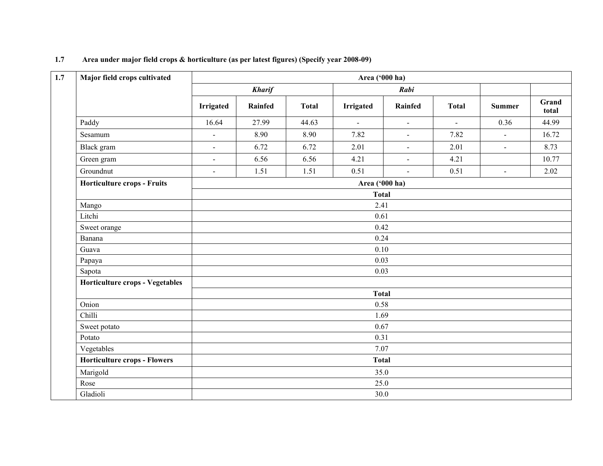| Major field crops cultivated        |                  |                |              | Area ('000 ha) |                      |                |                |                |
|-------------------------------------|------------------|----------------|--------------|----------------|----------------------|----------------|----------------|----------------|
|                                     |                  | <b>Kharif</b>  |              |                | Rabi                 |                |                |                |
|                                     | <b>Irrigated</b> | <b>Rainfed</b> | <b>Total</b> | Irrigated      | Rainfed              | <b>Total</b>   | <b>Summer</b>  | Grand<br>total |
| Paddy                               | 16.64            | 27.99          | 44.63        | $\mathbf{r}$   | $\ddot{\phantom{a}}$ | $\blacksquare$ | 0.36           | 44.99          |
| Sesamum                             | $\overline{a}$   | 8.90           | 8.90         | 7.82           | $\omega$             | 7.82           | $\mathbb{L}^2$ | 16.72          |
| Black gram                          | ÷,               | 6.72           | 6.72         | 2.01           | $\blacksquare$       | 2.01           | $\mathbf{r}$   | 8.73           |
| Green gram                          | $\blacksquare$   | 6.56           | 6.56         | 4.21           | $\blacksquare$       | 4.21           |                | 10.77          |
| Groundnut                           | $\overline{a}$   | 1.51           | 1.51         | 0.51           | $\sim$               | 0.51           | $\mathbf{r}$   | 2.02           |
| <b>Horticulture crops - Fruits</b>  |                  |                |              | Area ('000 ha) |                      |                |                |                |
|                                     |                  |                |              |                |                      |                |                |                |
| Mango                               |                  |                |              |                |                      |                |                |                |
| Litchi                              |                  | 0.61<br>0.42   |              |                |                      |                |                |                |
| Sweet orange                        |                  |                |              |                |                      |                |                |                |
| Banana                              |                  |                |              | 0.24           |                      |                |                |                |
| Guava                               |                  |                |              | 0.10           |                      |                |                |                |
| Papaya                              |                  |                |              | 0.03           |                      |                |                |                |
| Sapota                              |                  |                |              | 0.03           |                      |                |                |                |
| Horticulture crops - Vegetables     |                  |                |              |                |                      |                |                |                |
|                                     |                  |                |              | <b>Total</b>   |                      |                |                |                |
| Onion                               |                  |                |              | 0.58           |                      |                |                |                |
| Chilli                              |                  |                |              | 1.69           |                      |                |                |                |
| Sweet potato                        |                  |                |              | 0.67           |                      |                |                |                |
| Potato                              |                  |                |              | 0.31           |                      |                |                |                |
| Vegetables                          |                  |                |              | 7.07           |                      |                |                |                |
| <b>Horticulture crops - Flowers</b> |                  |                |              | <b>Total</b>   |                      |                |                |                |
| Marigold                            |                  |                |              | 35.0           |                      |                |                |                |
| Rose                                |                  |                |              | 25.0           |                      |                |                |                |
| Gladioli                            |                  |                |              | 30.0           |                      |                |                |                |

#### 1.7 Area under major field crops & horticulture (as per latest figures) (Specify year 2008-09)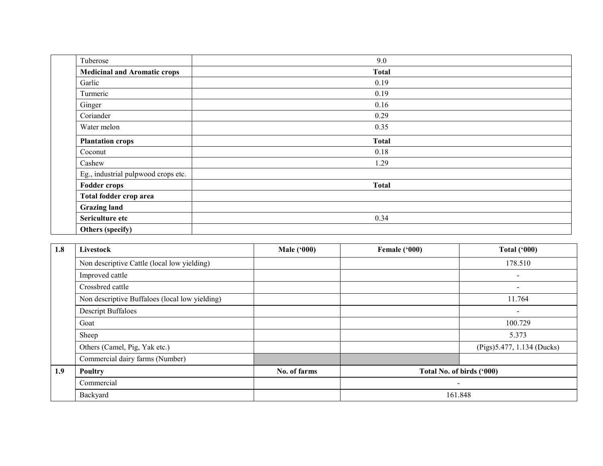| Tuberose                            | 9.0          |
|-------------------------------------|--------------|
| <b>Medicinal and Aromatic crops</b> | <b>Total</b> |
| Garlic                              | 0.19         |
| Turmeric                            | 0.19         |
| Ginger                              | 0.16         |
| Coriander                           | 0.29         |
| Water melon                         | 0.35         |
| <b>Plantation crops</b>             | <b>Total</b> |
| Coconut                             | 0.18         |
| Cashew                              | 1.29         |
| Eg., industrial pulpwood crops etc. |              |
| <b>Fodder crops</b>                 | <b>Total</b> |
| Total fodder crop area              |              |
| <b>Grazing land</b>                 |              |
| Sericulture etc                     | 0.34         |
| Others (specify)                    |              |

| 1.8 | Livestock                                      | <b>Male</b> ('000) | Female ('000)             | <b>Total ('000)</b>         |  |  |  |
|-----|------------------------------------------------|--------------------|---------------------------|-----------------------------|--|--|--|
|     | Non descriptive Cattle (local low yielding)    |                    |                           | 178.510                     |  |  |  |
|     | Improved cattle                                |                    |                           | $\sim$                      |  |  |  |
|     | Crossbred cattle                               |                    |                           | $\overline{\phantom{a}}$    |  |  |  |
|     | Non descriptive Buffaloes (local low yielding) |                    |                           | 11.764                      |  |  |  |
|     | <b>Descript Buffaloes</b>                      |                    |                           | $\overline{\phantom{0}}$    |  |  |  |
|     | Goat                                           |                    |                           | 100.729                     |  |  |  |
|     | Sheep                                          |                    |                           | 5.373                       |  |  |  |
|     | Others (Camel, Pig, Yak etc.)                  |                    |                           | (Pigs) 5.477, 1.134 (Ducks) |  |  |  |
|     | Commercial dairy farms (Number)                |                    |                           |                             |  |  |  |
| 1.9 | Poultry                                        | No. of farms       | Total No. of birds ('000) |                             |  |  |  |
|     | Commercial                                     |                    |                           |                             |  |  |  |
|     | Backyard                                       |                    |                           | 161.848                     |  |  |  |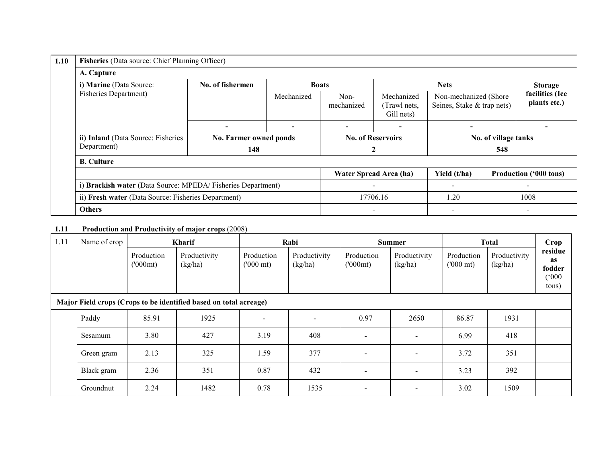| 1.10 | Fisheries (Data source: Chief Planning Officer)             |                               |                          |                          |                                          |                                                      |                          |                                 |  |  |
|------|-------------------------------------------------------------|-------------------------------|--------------------------|--------------------------|------------------------------------------|------------------------------------------------------|--------------------------|---------------------------------|--|--|
|      | A. Capture                                                  |                               |                          |                          |                                          |                                                      |                          |                                 |  |  |
|      | i) Marine (Data Source:                                     | No. of fishermen              |                          | <b>Boats</b>             |                                          | <b>Nets</b>                                          | <b>Storage</b>           |                                 |  |  |
|      | <b>Fisheries Department)</b>                                |                               | Mechanized               | Non-<br>mechanized       | Mechanized<br>(Trawl nets,<br>Gill nets) | Non-mechanized (Shore)<br>Seines, Stake & trap nets) |                          | facilities (Ice<br>plants etc.) |  |  |
|      |                                                             |                               | $\overline{\phantom{0}}$ | $\overline{\phantom{0}}$ |                                          |                                                      |                          |                                 |  |  |
|      | ii) Inland (Data Source: Fisheries                          | No. Farmer owned ponds<br>148 |                          |                          | <b>No. of Reservoirs</b>                 |                                                      | No. of village tanks     |                                 |  |  |
|      | Department)                                                 |                               |                          |                          |                                          | 548                                                  |                          |                                 |  |  |
|      | <b>B.</b> Culture                                           |                               |                          |                          |                                          |                                                      |                          |                                 |  |  |
|      |                                                             |                               |                          |                          | Water Spread Area (ha)                   | Yield (t/ha)                                         |                          | <b>Production ('000 tons)</b>   |  |  |
|      | i) Brackish water (Data Source: MPEDA/Fisheries Department) |                               |                          |                          |                                          |                                                      |                          |                                 |  |  |
|      | ii) Fresh water (Data Source: Fisheries Department)         |                               |                          | 17706.16                 |                                          | .20                                                  | 1008                     |                                 |  |  |
|      | <b>Others</b>                                               |                               |                          | $\overline{\phantom{0}}$ |                                          | $\overline{\phantom{0}}$                             | $\overline{\phantom{a}}$ |                                 |  |  |

#### 1.11 Production and Productivity of major crops (2008)

| 1.11 | Name of crop                                                      |                       | <b>Kharif</b>           |                                  | Rabi                    |                       | <b>Summer</b>            |                                  | <b>Total</b>            |                                                  |  |  |  |
|------|-------------------------------------------------------------------|-----------------------|-------------------------|----------------------------------|-------------------------|-----------------------|--------------------------|----------------------------------|-------------------------|--------------------------------------------------|--|--|--|
|      |                                                                   | Production<br>(000mt) | Productivity<br>(kg/ha) | Production<br>$(000 \text{ mt})$ | Productivity<br>(kg/ha) | Production<br>(000mt) | Productivity<br>(kg/ha)  | Production<br>$(000 \text{ mt})$ | Productivity<br>(kg/ha) | residue<br><b>as</b><br>fodder<br>(000)<br>tons) |  |  |  |
|      | Major Field crops (Crops to be identified based on total acreage) |                       |                         |                                  |                         |                       |                          |                                  |                         |                                                  |  |  |  |
|      | Paddy                                                             | 85.91                 | 1925                    | $\overline{\phantom{a}}$         |                         | 0.97                  | 2650                     | 86.87                            | 1931                    |                                                  |  |  |  |
|      | Sesamum                                                           | 3.80                  | 427                     | 3.19                             | 408                     |                       | $\overline{\phantom{a}}$ | 6.99                             | 418                     |                                                  |  |  |  |
|      | Green gram                                                        | 2.13                  | 325                     | 1.59                             | 377                     |                       | $\overline{\phantom{a}}$ | 3.72                             | 351                     |                                                  |  |  |  |
|      | Black gram                                                        | 2.36                  | 351                     | 0.87                             | 432                     |                       | $\overline{\phantom{a}}$ | 3.23                             | 392                     |                                                  |  |  |  |
|      | Groundnut                                                         | 2.24                  | 1482                    | 0.78                             | 1535                    |                       | $\overline{\phantom{a}}$ | 3.02                             | 1509                    |                                                  |  |  |  |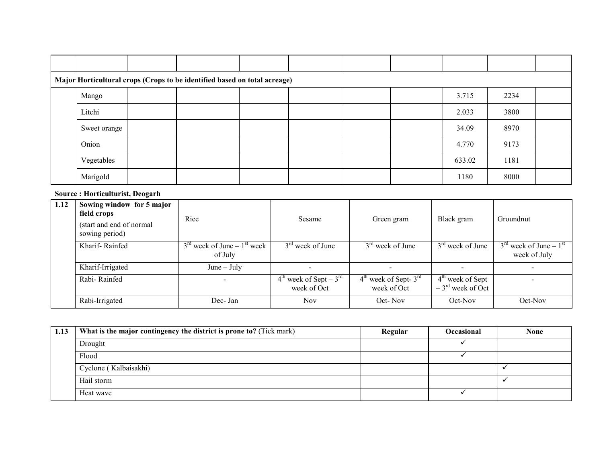| Major Horticultural crops (Crops to be identified based on total acreage) |  |  |  |  |  |  |        |      |  |  |
|---------------------------------------------------------------------------|--|--|--|--|--|--|--------|------|--|--|
| Mango                                                                     |  |  |  |  |  |  | 3.715  | 2234 |  |  |
| Litchi                                                                    |  |  |  |  |  |  | 2.033  | 3800 |  |  |
| Sweet orange                                                              |  |  |  |  |  |  | 34.09  | 8970 |  |  |
| Onion                                                                     |  |  |  |  |  |  | 4.770  | 9173 |  |  |
| Vegetables                                                                |  |  |  |  |  |  | 633.02 | 1181 |  |  |
| Marigold                                                                  |  |  |  |  |  |  | 1180   | 8000 |  |  |

## Source : Horticulturist, Deogarh

| 1.12 | Sowing window for 5 major<br>field crops<br>(start and end of normal<br>sowing period) | Rice                                                           | Sesame                                              | Green gram                               | Black gram                                         | Groundnut                                                      |
|------|----------------------------------------------------------------------------------------|----------------------------------------------------------------|-----------------------------------------------------|------------------------------------------|----------------------------------------------------|----------------------------------------------------------------|
|      | Kharif-Rainfed                                                                         | $3^{\text{rd}}$ week of June – $1^{\text{st}}$ week<br>of July | $3rd$ week of June                                  | $3rd$ week of June                       | $3rd$ week of June                                 | $3^{\text{rd}}$ week of June – $1^{\text{st}}$<br>week of July |
|      | Kharif-Irrigated                                                                       | $June - July$                                                  |                                                     |                                          |                                                    |                                                                |
|      | Rabi-Rainfed                                                                           |                                                                | $4th$ week of Sept – 3 <sup>rd</sup><br>week of Oct | $4th$ week of Sept- $3rd$<br>week of Oct | $4th$ week of Sept<br>$-3^{\text{rd}}$ week of Oct |                                                                |
|      | Rabi-Irrigated                                                                         | Dec-Jan                                                        | <b>Nov</b>                                          | Oct-Nov                                  | Oct-Nov                                            | $Oct$ -Nov                                                     |

| 1.13 | What is the major contingency the district is prone to? (Tick mark) | Regular | <b>Occasional</b> | None |
|------|---------------------------------------------------------------------|---------|-------------------|------|
|      | Drought                                                             |         |                   |      |
|      | Flood                                                               |         |                   |      |
|      | Cyclone (Kalbaisakhi)                                               |         |                   |      |
|      | Hail storm                                                          |         |                   |      |
|      | Heat wave                                                           |         |                   |      |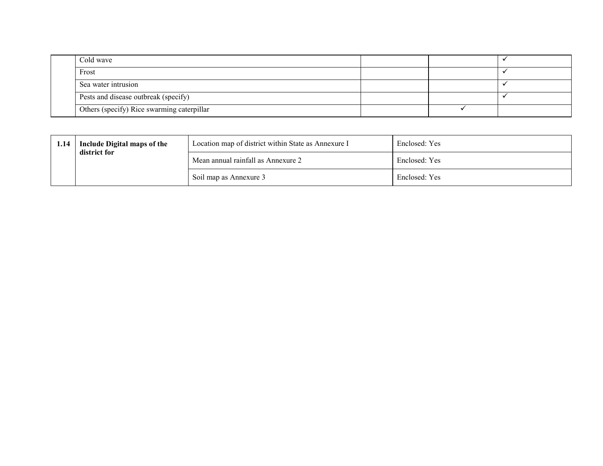| Cold wave                                  |  |  |
|--------------------------------------------|--|--|
| Frost                                      |  |  |
| Sea water intrusion                        |  |  |
| Pests and disease outbreak (specify)       |  |  |
| Others (specify) Rice swarming caterpillar |  |  |

| 1.14 | Include Digital maps of the<br>district for | Location map of district within State as Annexure I | Enclosed: Yes |
|------|---------------------------------------------|-----------------------------------------------------|---------------|
|      |                                             | Mean annual rainfall as Annexure 2                  | Enclosed: Yes |
|      |                                             | Soil map as Annexure 3                              | Enclosed: Yes |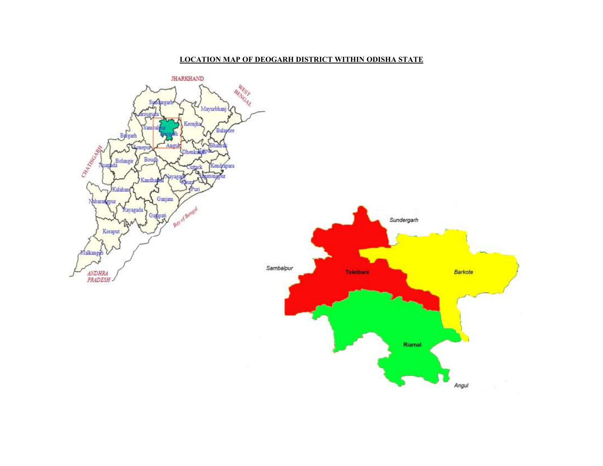#### LOCATION MAP OF DEOGARH DISTRICT WITHIN ODISHA STATE

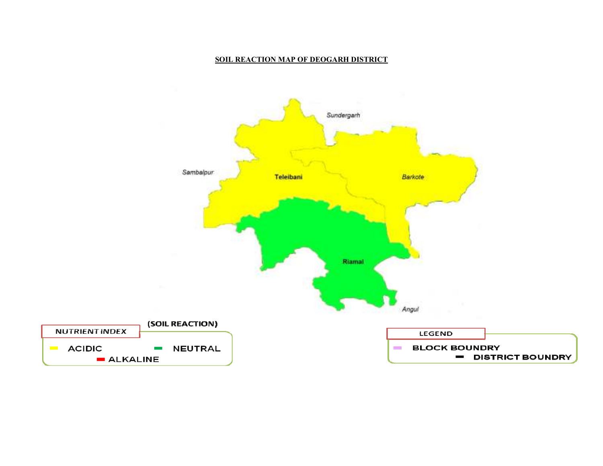#### SOIL REACTION MAP OF DEOGARH DISTRICT

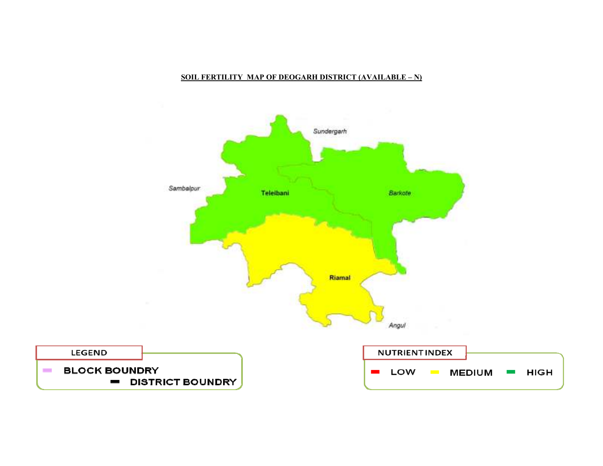

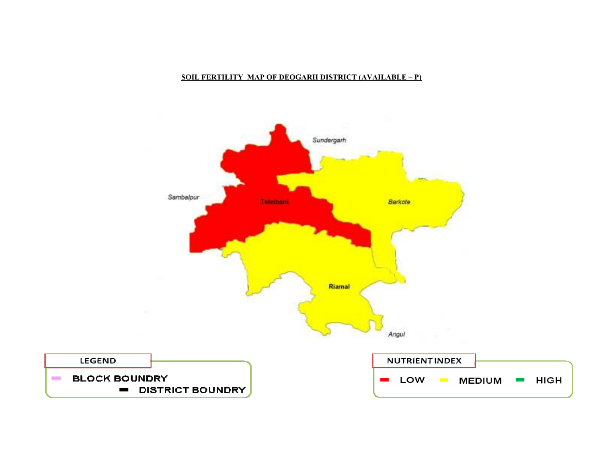

#### SOIL FERTILITY MAP OF DEOGARH DISTRICT (AVAILABLE – P)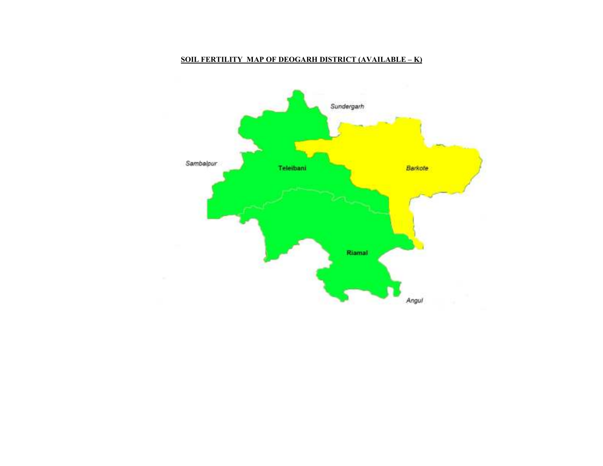#### SOIL FERTILITY MAP OF DEOGARH DISTRICT (AVAILABLE – K)

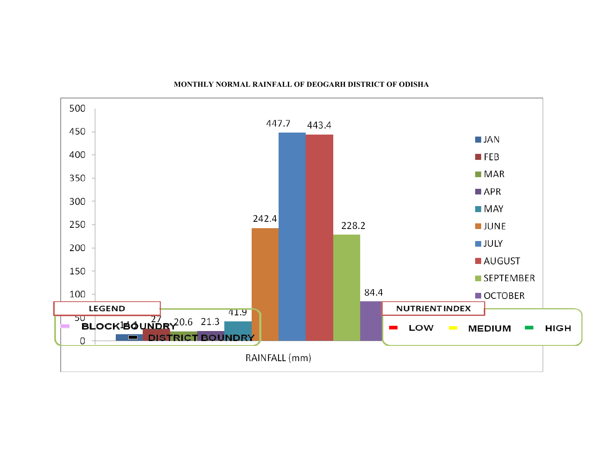

#### MONTHLY NORMAL RAINFALL OF DEOGARH DISTRICT OF ODISHA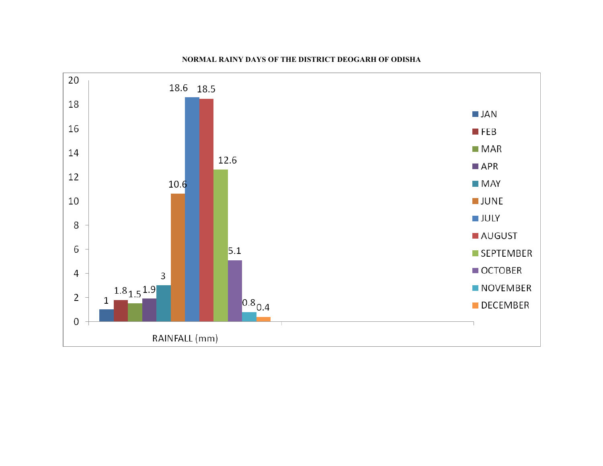

#### NORMAL RAINY DAYS OF THE DISTRICT DEOGARH OF ODISHA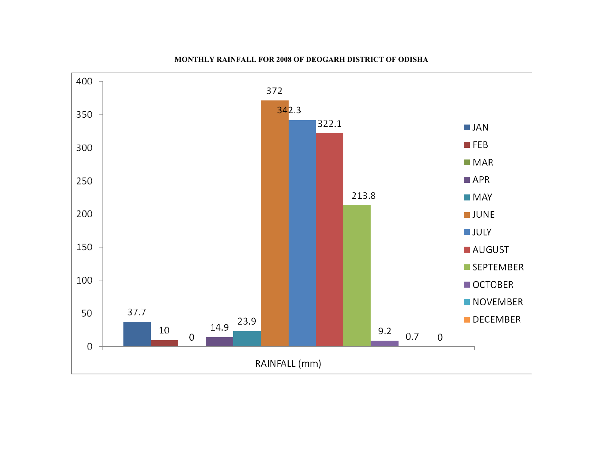

#### MONTHLY RAINFALL FOR 2008 OF DEOGARH DISTRICT OF ODISHA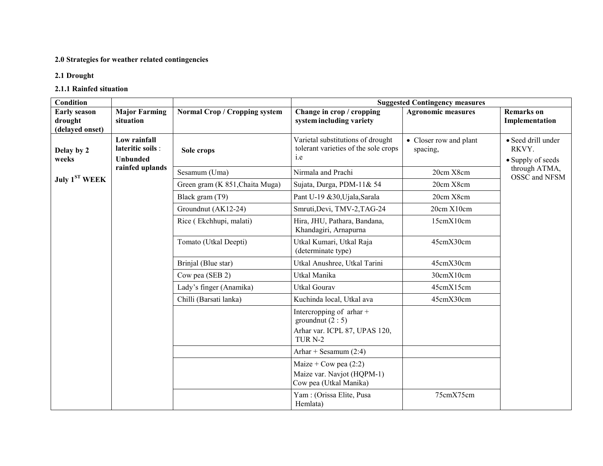#### 2.0 Strategies for weather related contingencies

## 2.1 Drought

## 2.1.1 Rainfed situation

| Condition                                         |                                                      |                                 |                                                                                                            | <b>Suggested Contingency measures</b> |                                                  |
|---------------------------------------------------|------------------------------------------------------|---------------------------------|------------------------------------------------------------------------------------------------------------|---------------------------------------|--------------------------------------------------|
| <b>Early season</b><br>drought<br>(delayed onset) | <b>Major Farming</b><br>situation                    | Normal Crop / Cropping system   | Change in crop / cropping<br>system including variety                                                      | <b>Agronomic measures</b>             | <b>Remarks</b> on<br>Implementation              |
| Delay by 2<br>weeks                               | Low rainfall<br>lateritic soils :<br><b>Unbunded</b> | Sole crops                      | Varietal substitutions of drought<br>tolerant varieties of the sole crops<br><i>i.e</i>                    | • Closer row and plant<br>spacing,    | • Seed drill under<br>RKVY.<br>• Supply of seeds |
|                                                   | rainfed uplands                                      | Sesamum (Uma)                   | Nirmala and Prachi                                                                                         | 20cm X8cm                             | through ATMA,<br>OSSC and NFSM                   |
| July $1ST WEEK$                                   |                                                      | Green gram (K 851, Chaita Muga) | Sujata, Durga, PDM-11& 54                                                                                  | 20cm X8cm                             |                                                  |
|                                                   |                                                      | Black gram (T9)                 | Pant U-19 &30, Ujala, Sarala                                                                               | 20cm X8cm                             |                                                  |
|                                                   |                                                      | Groundnut (AK12-24)             | Smruti, Devi, TMV-2, TAG-24                                                                                | 20cm X10cm                            |                                                  |
|                                                   |                                                      | Rice (Ekchhupi, malati)         | Hira, JHU, Pathara, Bandana,<br>Khandagiri, Arnapurna                                                      | 15cmX10cm                             |                                                  |
|                                                   |                                                      | Tomato (Utkal Deepti)           | Utkal Kumari, Utkal Raja<br>(determinate type)                                                             | 45cmX30cm                             |                                                  |
|                                                   |                                                      | Brinjal (Blue star)             | Utkal Anushree, Utkal Tarini                                                                               | 45cmX30cm                             |                                                  |
|                                                   |                                                      | Cow pea (SEB 2)                 | Utkal Manika                                                                                               | 30cmX10cm                             |                                                  |
|                                                   |                                                      | Lady's finger (Anamika)         | <b>Utkal Gourav</b>                                                                                        | 45cmX15cm                             |                                                  |
|                                                   |                                                      | Chilli (Barsati lanka)          | Kuchinda local, Utkal ava                                                                                  | 45cmX30cm                             |                                                  |
|                                                   |                                                      |                                 | Intercropping of $\pi$ thar +<br>ground nut $(2:5)$<br>Arhar var. ICPL 87, UPAS 120,<br>TUR <sub>N-2</sub> |                                       |                                                  |
|                                                   |                                                      |                                 | Arhar + Sesamum $(2:4)$                                                                                    |                                       |                                                  |
|                                                   |                                                      |                                 | Maize + Cow pea $(2:2)$<br>Maize var. Navjot (HQPM-1)<br>Cow pea (Utkal Manika)                            |                                       |                                                  |
|                                                   |                                                      |                                 | Yam: (Orissa Elite, Pusa<br>Hemlata)                                                                       | 75cmX75cm                             |                                                  |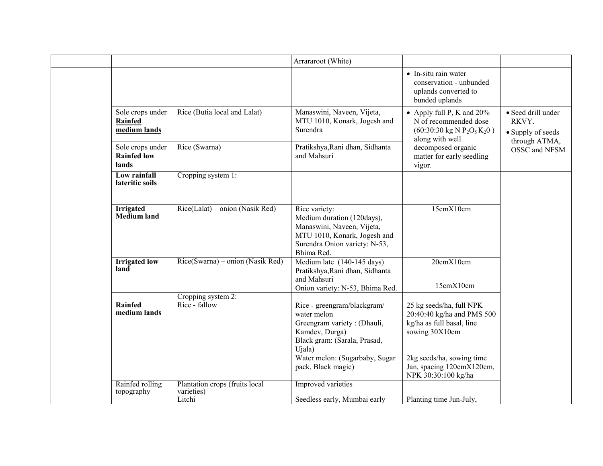|                                                 |                                                        | Arrararoot (White)                                                                                                                                                                            |                                                                                                                                                                                        |                                                                   |
|-------------------------------------------------|--------------------------------------------------------|-----------------------------------------------------------------------------------------------------------------------------------------------------------------------------------------------|----------------------------------------------------------------------------------------------------------------------------------------------------------------------------------------|-------------------------------------------------------------------|
|                                                 |                                                        |                                                                                                                                                                                               | • In-situ rain water<br>conservation - unbunded<br>uplands converted to<br>bunded uplands                                                                                              |                                                                   |
| Sole crops under<br>Rainfed<br>medium lands     | Rice (Butia local and Lalat)                           | Manaswini, Naveen, Vijeta,<br>MTU 1010, Konark, Jogesh and<br>Surendra                                                                                                                        | • Apply full P, K and $20\%$<br>N of recommended dose<br>$(60:30:30 \text{ kg N } P_2O_5K_2O)$<br>along with well                                                                      | • Seed drill under<br>RKVY.<br>• Supply of seeds<br>through ATMA, |
| Sole crops under<br><b>Rainfed low</b><br>lands | Rice (Swarna)                                          | Pratikshya, Rani dhan, Sidhanta<br>and Mahsuri                                                                                                                                                | decomposed organic<br>matter for early seedling<br>vigor.                                                                                                                              | OSSC and NFSM                                                     |
| Low rainfall<br>lateritic soils                 | Cropping system 1:                                     |                                                                                                                                                                                               |                                                                                                                                                                                        |                                                                   |
| <b>Irrigated</b><br><b>Medium</b> land          | $Rice(Lalat)$ – onion (Nasik Red)                      | Rice variety:<br>Medium duration (120days),<br>Manaswini, Naveen, Vijeta,<br>MTU 1010, Konark, Jogesh and<br>Surendra Onion variety: N-53,<br>Bhima Red.                                      | 15cmX10cm                                                                                                                                                                              |                                                                   |
| <b>Irrigated low</b><br>land                    | Rice(Swarna) – onion (Nasik Red)                       | Medium late (140-145 days)<br>Pratikshya, Rani dhan, Sidhanta<br>and Mahsuri<br>Onion variety: N-53, Bhima Red.                                                                               | 20cmX10cm<br>15cmX10cm                                                                                                                                                                 |                                                                   |
| Rainfed<br>medium lands                         | Cropping system 2:<br>Rice - fallow                    | Rice - greengram/blackgram/<br>water melon<br>Greengram variety: (Dhauli,<br>Kamdev, Durga)<br>Black gram: (Sarala, Prasad,<br>Ujala)<br>Water melon: (Sugarbaby, Sugar<br>pack, Black magic) | 25 kg seeds/ha, full NPK<br>20:40:40 kg/ha and PMS 500<br>kg/ha as full basal, line<br>sowing 30X10cm<br>2kg seeds/ha, sowing time<br>Jan, spacing 120cmX120cm,<br>NPK 30:30:100 kg/ha |                                                                   |
| Rainfed rolling<br>topography                   | Plantation crops (fruits local<br>varieties)<br>Litchi | <b>Improved</b> varieties<br>Seedless early, Mumbai early                                                                                                                                     | Planting time Jun-July,                                                                                                                                                                |                                                                   |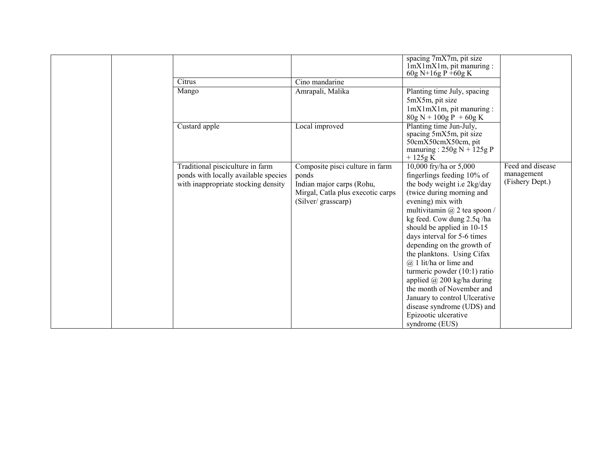| Citrus<br>Mango                                                                                                 | Cino mandarine<br>Amrapali, Malika                                                                                               | spacing 7mX7m, pit size<br>$ImX1mX1m$ , pit manuring :<br>60g N+16g P +60g K<br>Planting time July, spacing<br>5mX5m, pit size<br>$lmX1mX1m$ , pit manuring :                                                                                                                                                                                                                                                                                                                                                                                                            |                                                   |
|-----------------------------------------------------------------------------------------------------------------|----------------------------------------------------------------------------------------------------------------------------------|--------------------------------------------------------------------------------------------------------------------------------------------------------------------------------------------------------------------------------------------------------------------------------------------------------------------------------------------------------------------------------------------------------------------------------------------------------------------------------------------------------------------------------------------------------------------------|---------------------------------------------------|
| Custard apple                                                                                                   | Local improved                                                                                                                   | $80g N + 100g P + 60g K$<br>Planting time Jun-July,<br>spacing 5mX5m, pit size<br>50cmX50cmX50cm, pit<br>manuring: $250g N + 125g P$<br>$+125g K$                                                                                                                                                                                                                                                                                                                                                                                                                        |                                                   |
| Traditional pisciculture in farm<br>ponds with locally available species<br>with inappropriate stocking density | Composite pisci culture in farm<br>ponds<br>Indian major carps (Rohu,<br>Mirgal, Catla plus execotic carps<br>(Silver/grasscarp) | 10,000 fry/ha or 5,000<br>fingerlings feeding 10% of<br>the body weight i.e 2kg/day<br>(twice during morning and<br>evening) mix with<br>multivitamin $(a)$ 2 tea spoon /<br>kg feed. Cow dung 2.5q/ha<br>should be applied in 10-15<br>days interval for 5-6 times<br>depending on the growth of<br>the planktons. Using Cifax<br>$@$ 1 lit/ha or lime and<br>turmeric powder $(10:1)$ ratio<br>applied $\omega$ 200 kg/ha during<br>the month of November and<br>January to control Ulcerative<br>disease syndrome (UDS) and<br>Epizootic ulcerative<br>syndrome (EUS) | Feed and disease<br>management<br>(Fishery Dept.) |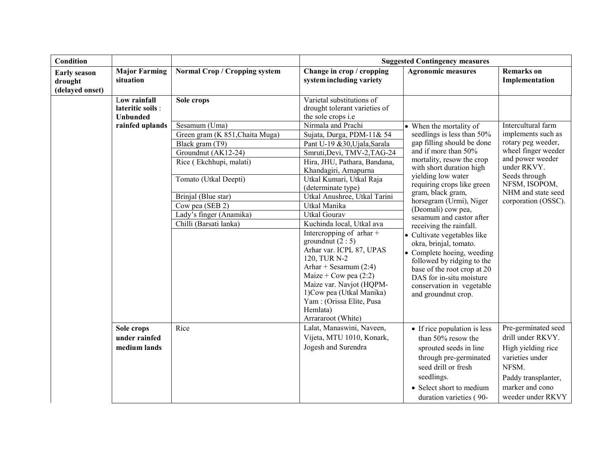| <b>Condition</b>                                  |                                                      |                                 | <b>Suggested Contingency measures</b>                                                                                                                                                                                                                                  |                                                                                                                                                                                                                                  |                                                                                                                                                           |
|---------------------------------------------------|------------------------------------------------------|---------------------------------|------------------------------------------------------------------------------------------------------------------------------------------------------------------------------------------------------------------------------------------------------------------------|----------------------------------------------------------------------------------------------------------------------------------------------------------------------------------------------------------------------------------|-----------------------------------------------------------------------------------------------------------------------------------------------------------|
| <b>Early season</b><br>drought<br>(delayed onset) | <b>Major Farming</b><br>situation                    | Normal Crop / Cropping system   | Change in crop / cropping<br>system including variety                                                                                                                                                                                                                  | <b>Agronomic measures</b>                                                                                                                                                                                                        | <b>Remarks</b> on<br>Implementation                                                                                                                       |
|                                                   | Low rainfall<br>lateritic soils :<br><b>Unbunded</b> | Sole crops                      | Varietal substitutions of<br>drought tolerant varieties of<br>the sole crops <i>i.e</i>                                                                                                                                                                                |                                                                                                                                                                                                                                  |                                                                                                                                                           |
|                                                   | rainfed uplands                                      | Sesamum (Uma)                   | Nirmala and Prachi                                                                                                                                                                                                                                                     | • When the mortality of                                                                                                                                                                                                          | Intercultural farm                                                                                                                                        |
|                                                   |                                                      | Green gram (K 851, Chaita Muga) | Sujata, Durga, PDM-11& 54                                                                                                                                                                                                                                              | seedlings is less than 50%                                                                                                                                                                                                       | implements such as                                                                                                                                        |
|                                                   |                                                      | Black gram (T9)                 | Pant U-19 &30, Ujala, Sarala                                                                                                                                                                                                                                           | gap filling should be done                                                                                                                                                                                                       | rotary peg weeder,                                                                                                                                        |
|                                                   |                                                      | Groundnut (AK12-24)             | Smruti, Devi, TMV-2, TAG-24                                                                                                                                                                                                                                            | and if more than 50%                                                                                                                                                                                                             | wheel finger weeder                                                                                                                                       |
|                                                   |                                                      | Rice (Ekchhupi, malati)         | Hira, JHU, Pathara, Bandana,<br>Khandagiri, Arnapurna                                                                                                                                                                                                                  | mortality, resow the crop<br>with short duration high                                                                                                                                                                            | and power weeder<br>under RKVY.                                                                                                                           |
|                                                   |                                                      | Tomato (Utkal Deepti)           | Utkal Kumari, Utkal Raja<br>(determinate type)                                                                                                                                                                                                                         | yielding low water<br>requiring crops like green                                                                                                                                                                                 | Seeds through<br>NFSM, ISOPOM,                                                                                                                            |
|                                                   |                                                      | Brinjal (Blue star)             | Utkal Anushree, Utkal Tarini                                                                                                                                                                                                                                           | gram, black gram,                                                                                                                                                                                                                | NHM and state seed                                                                                                                                        |
|                                                   |                                                      | Cow pea (SEB 2)                 | Utkal Manika                                                                                                                                                                                                                                                           | horsegram (Urmi), Niger<br>(Deomali) cow pea,                                                                                                                                                                                    | corporation (OSSC).                                                                                                                                       |
|                                                   |                                                      | Lady's finger (Anamika)         | <b>Utkal Gourav</b>                                                                                                                                                                                                                                                    | sesamum and castor after                                                                                                                                                                                                         |                                                                                                                                                           |
|                                                   |                                                      | Chilli (Barsati lanka)          | Kuchinda local, Utkal ava                                                                                                                                                                                                                                              | receiving the rainfall.                                                                                                                                                                                                          |                                                                                                                                                           |
|                                                   |                                                      |                                 | Intercropping of arhar +<br>groundnut $(2:5)$<br>Arhar var. ICPL 87, UPAS<br>120, TUR N-2<br>Arhar + Sesamum $(2:4)$<br>Maize + Cow pea $(2:2)$<br>Maize var. Navjot (HQPM-<br>1) Cow pea (Utkal Manika)<br>Yam: (Orissa Elite, Pusa<br>Hemlata)<br>Arrararoot (White) | • Cultivate vegetables like<br>okra, brinjal, tomato.<br>• Complete hoeing, weeding<br>followed by ridging to the<br>base of the root crop at 20<br>DAS for in-situ moisture<br>conservation in vegetable<br>and groundnut crop. |                                                                                                                                                           |
|                                                   | Sole crops<br>under rainfed<br>medium lands          | Rice                            | Lalat, Manaswini, Naveen,<br>Vijeta, MTU 1010, Konark,<br>Jogesh and Surendra                                                                                                                                                                                          | • If rice population is less<br>than 50% resow the<br>sprouted seeds in line<br>through pre-germinated<br>seed drill or fresh<br>seedlings.<br>• Select short to medium<br>duration varieties (90-                               | Pre-germinated seed<br>drill under RKVY.<br>High yielding rice<br>varieties under<br>NFSM.<br>Paddy transplanter,<br>marker and cono<br>weeder under RKVY |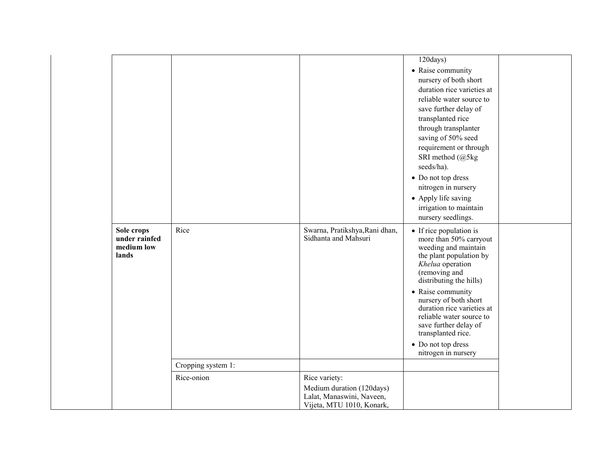|                                                    |                    |                                                                                     | $120$ days)<br>• Raise community<br>nursery of both short<br>duration rice varieties at<br>reliable water source to<br>save further delay of<br>transplanted rice<br>through transplanter<br>saving of 50% seed<br>requirement or through<br>SRI method (@5kg<br>seeds/ha).<br>• Do not top dress<br>nitrogen in nursery<br>• Apply life saving<br>irrigation to maintain<br>nursery seedlings. |  |
|----------------------------------------------------|--------------------|-------------------------------------------------------------------------------------|-------------------------------------------------------------------------------------------------------------------------------------------------------------------------------------------------------------------------------------------------------------------------------------------------------------------------------------------------------------------------------------------------|--|
| Sole crops<br>under rainfed<br>medium low<br>lands | Rice               | Swarna, Pratikshya, Rani dhan,<br>Sidhanta and Mahsuri                              | • If rice population is<br>more than 50% carryout<br>weeding and maintain<br>the plant population by<br>Khelua operation<br>(removing and<br>distributing the hills)<br>• Raise community<br>nursery of both short<br>duration rice varieties at<br>reliable water source to<br>save further delay of<br>transplanted rice.<br>• Do not top dress<br>nitrogen in nursery                        |  |
|                                                    | Cropping system 1: |                                                                                     |                                                                                                                                                                                                                                                                                                                                                                                                 |  |
|                                                    | Rice-onion         | Rice variety:                                                                       |                                                                                                                                                                                                                                                                                                                                                                                                 |  |
|                                                    |                    | Medium duration (120days)<br>Lalat, Manaswini, Naveen,<br>Vijeta, MTU 1010, Konark, |                                                                                                                                                                                                                                                                                                                                                                                                 |  |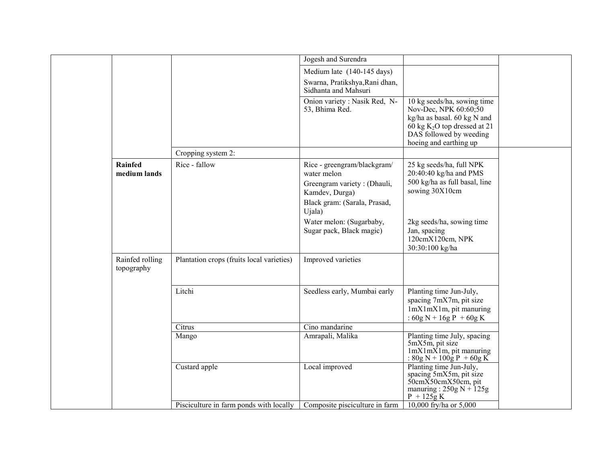|                                |                                           | Jogesh and Surendra                                                                                                                                                                           |                                                                                                                                                                            |  |
|--------------------------------|-------------------------------------------|-----------------------------------------------------------------------------------------------------------------------------------------------------------------------------------------------|----------------------------------------------------------------------------------------------------------------------------------------------------------------------------|--|
|                                |                                           | Medium late (140-145 days)                                                                                                                                                                    |                                                                                                                                                                            |  |
|                                |                                           | Swarna, Pratikshya, Rani dhan,                                                                                                                                                                |                                                                                                                                                                            |  |
|                                |                                           | Sidhanta and Mahsuri                                                                                                                                                                          |                                                                                                                                                                            |  |
|                                |                                           | Onion variety : Nasik Red, N-<br>53, Bhima Red.                                                                                                                                               | 10 kg seeds/ha, sowing time<br>Nov-Dec, NPK 60:60;50<br>kg/ha as basal. 60 kg N and<br>60 kg $K_2O$ top dressed at 21<br>DAS followed by weeding<br>hoeing and earthing up |  |
|                                | Cropping system 2:                        |                                                                                                                                                                                               |                                                                                                                                                                            |  |
| <b>Rainfed</b><br>medium lands | Rice - fallow                             | Rice - greengram/blackgram/<br>water melon<br>Greengram variety: (Dhauli,<br>Kamdev, Durga)<br>Black gram: (Sarala, Prasad,<br>Ujala)<br>Water melon: (Sugarbaby,<br>Sugar pack, Black magic) | 25 kg seeds/ha, full NPK<br>20:40:40 kg/ha and PMS<br>500 kg/ha as full basal, line<br>sowing 30X10cm<br>2kg seeds/ha, sowing time<br>Jan, spacing                         |  |
|                                |                                           |                                                                                                                                                                                               | 120cmX120cm, NPK<br>30:30:100 kg/ha                                                                                                                                        |  |
| Rainfed rolling<br>topography  | Plantation crops (fruits local varieties) | Improved varieties                                                                                                                                                                            |                                                                                                                                                                            |  |
|                                | Litchi                                    | Seedless early, Mumbai early                                                                                                                                                                  | Planting time Jun-July,<br>spacing 7mX7m, pit size<br>$lmXlmXlm$ , pit manuring<br>: $60g N + 16g P + 60g K$                                                               |  |
|                                | Citrus                                    | Cino mandarine                                                                                                                                                                                |                                                                                                                                                                            |  |
|                                | Mango                                     | Amrapali, Malika                                                                                                                                                                              | Planting time July, spacing<br>5mX5m, pit size<br>$1mX1mX1m$ , pit manuring<br>: $80g N + 100g P + 60g K$                                                                  |  |
|                                | Custard apple                             | Local improved                                                                                                                                                                                | Planting time Jun-July,<br>spacing 5mX5m, pit size<br>$50cm\overline{X}50cmX50cm$ , pit<br>manuring: $250g N + 125g$<br>$P + 125g K$                                       |  |
|                                | Pisciculture in farm ponds with locally   | Composite pisciculture in farm                                                                                                                                                                | 10,000 fry/ha or 5,000                                                                                                                                                     |  |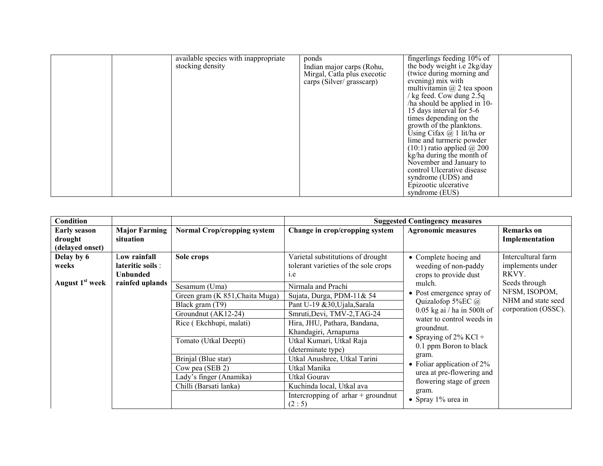|  | available species with inappropriate | ponds                       | fingerlings feeding $10\%$ of        |
|--|--------------------------------------|-----------------------------|--------------------------------------|
|  | stocking density                     | Indian major carps (Rohu,   | the body weight i.e 2kg/day          |
|  |                                      | Mirgal, Catla plus execotic | (twice during morning and            |
|  |                                      |                             | evening) mix with                    |
|  |                                      | carps (Silver/grasscarp)    | multivitamin $(a)$ 2 tea spoon       |
|  |                                      |                             | $\frac{1}{2}$ kg feed. Cow dung 2.5q |
|  |                                      |                             |                                      |
|  |                                      |                             | $\pi$ has should be applied in 10-   |
|  |                                      |                             | 15 days interval for 5-6             |
|  |                                      |                             | times depending on the               |
|  |                                      |                             | growth of the planktons.             |
|  |                                      |                             | Using Cifax $(a)$ 1 lit/ha or        |
|  |                                      |                             | lime and turmeric powder             |
|  |                                      |                             | $(10:1)$ ratio applied $\omega$ 200  |
|  |                                      |                             | kg/ha during the month of            |
|  |                                      |                             | November and January to              |
|  |                                      |                             | control Ulcerative disease           |
|  |                                      |                             | syndrome (UDS) and                   |
|  |                                      |                             | Epizootic ulcerative                 |
|  |                                      |                             | syndrome (EUS)                       |
|  |                                      |                             |                                      |

| <b>Condition</b>                                  |                                                      |                                                                                                                                                                                                                                               |                                                                                                                                                                                                                                                                                                                                                                               | <b>Suggested Contingency measures</b>                                                                                                                                                                                                                                                                                                    |                                                                             |  |                                        |
|---------------------------------------------------|------------------------------------------------------|-----------------------------------------------------------------------------------------------------------------------------------------------------------------------------------------------------------------------------------------------|-------------------------------------------------------------------------------------------------------------------------------------------------------------------------------------------------------------------------------------------------------------------------------------------------------------------------------------------------------------------------------|------------------------------------------------------------------------------------------------------------------------------------------------------------------------------------------------------------------------------------------------------------------------------------------------------------------------------------------|-----------------------------------------------------------------------------|--|----------------------------------------|
| <b>Early season</b><br>drought<br>(delayed onset) | <b>Major Farming</b><br>situation                    | <b>Normal Crop/cropping system</b>                                                                                                                                                                                                            | Change in crop/cropping system                                                                                                                                                                                                                                                                                                                                                | <b>Agronomic measures</b>                                                                                                                                                                                                                                                                                                                | <b>Remarks</b> on<br>Implementation                                         |  |                                        |
| Delay by 6<br>weeks                               | Low rainfall<br>lateritic soils :<br><b>Unbunded</b> | Sole crops                                                                                                                                                                                                                                    | Varietal substitutions of drought<br>tolerant varieties of the sole crops<br>i.e                                                                                                                                                                                                                                                                                              | • Complete hoeing and<br>weeding of non-paddy<br>crops to provide dust                                                                                                                                                                                                                                                                   | RKVY.                                                                       |  | Intercultural farm<br>implements under |
| August 1 <sup>st</sup> week                       | rainfed uplands                                      | Sesamum (Uma)<br>Green gram (K 851, Chaita Muga)<br>Black gram (T9)<br>Groundnut (AK12-24)<br>Rice (Ekchhupi, malati)<br>Tomato (Utkal Deepti)<br>Brinjal (Blue star)<br>Cow pea (SEB 2)<br>Lady's finger (Anamika)<br>Chilli (Barsati lanka) | Nirmala and Prachi<br>Sujata, Durga, PDM-11& 54<br>Pant U-19 & 30, Ujala, Sarala<br>Smruti, Devi, TMV-2, TAG-24<br>Hira, JHU, Pathara, Bandana,<br>Khandagiri, Arnapurna<br>Utkal Kumari, Utkal Raja<br>(determinate type)<br>Utkal Anushree, Utkal Tarini<br>Utkal Manika<br>Utkal Gourav<br>Kuchinda local, Utkal ava<br>Intercropping of $\pi$ arhar + ground nut<br>(2:5) | mulch.<br>• Post emergence spray of<br>Quizalofop 5%EC $\omega$<br>$0.05$ kg ai / ha in 500lt of<br>water to control weeds in<br>ground nut.<br>• Spraying of $2\%$ KCl +<br>0.1 ppm Boron to black<br>gram.<br>• Foliar application of $2\%$<br>urea at pre-flowering and<br>flowering stage of green<br>gram.<br>• Spray $1\%$ urea in | Seeds through<br>NFSM, ISOPOM,<br>NHM and state seed<br>corporation (OSSC). |  |                                        |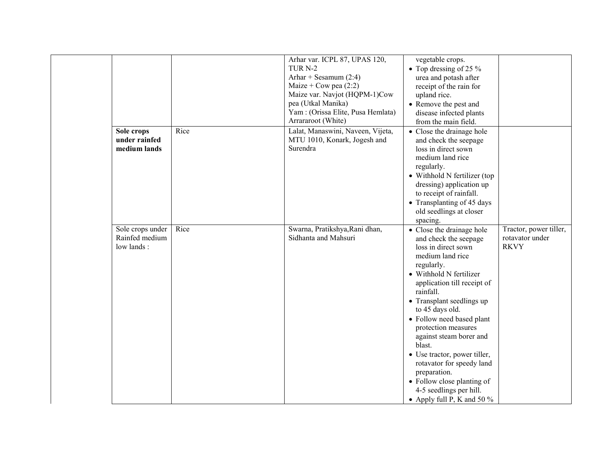|                                                  |      | Arhar var. ICPL 87, UPAS 120,<br>TUR <sub>N-2</sub><br>Arhar + Sesamum $(2:4)$<br>Maize + Cow pea $(2:2)$<br>Maize var. Navjot (HQPM-1)Cow<br>pea (Utkal Manika)<br>Yam: (Orissa Elite, Pusa Hemlata)<br>Arrararoot (White) | vegetable crops.<br>• Top dressing of 25 $\%$<br>urea and potash after<br>receipt of the rain for<br>upland rice.<br>• Remove the pest and<br>disease infected plants<br>from the main field.                                                                                                                                                                                                                                                                                                      |                                                          |
|--------------------------------------------------|------|-----------------------------------------------------------------------------------------------------------------------------------------------------------------------------------------------------------------------------|----------------------------------------------------------------------------------------------------------------------------------------------------------------------------------------------------------------------------------------------------------------------------------------------------------------------------------------------------------------------------------------------------------------------------------------------------------------------------------------------------|----------------------------------------------------------|
| Sole crops<br>under rainfed<br>medium lands      | Rice | Lalat, Manaswini, Naveen, Vijeta,<br>MTU 1010, Konark, Jogesh and<br>Surendra                                                                                                                                               | • Close the drainage hole<br>and check the seepage<br>loss in direct sown<br>medium land rice<br>regularly.<br>• Withhold N fertilizer (top<br>dressing) application up<br>to receipt of rainfall.<br>• Transplanting of 45 days<br>old seedlings at closer<br>spacing.                                                                                                                                                                                                                            |                                                          |
| Sole crops under<br>Rainfed medium<br>low lands: | Rice | Swarna, Pratikshya, Rani dhan,<br>Sidhanta and Mahsuri                                                                                                                                                                      | • Close the drainage hole<br>and check the seepage<br>loss in direct sown<br>medium land rice<br>regularly.<br>• Withhold N fertilizer<br>application till receipt of<br>rainfall.<br>• Transplant seedlings up<br>to 45 days old.<br>• Follow need based plant<br>protection measures<br>against steam borer and<br>blast.<br>• Use tractor, power tiller,<br>rotavator for speedy land<br>preparation.<br>• Follow close planting of<br>4-5 seedlings per hill.<br>• Apply full P, K and 50 $\%$ | Tractor, power tiller,<br>rotavator under<br><b>RKVY</b> |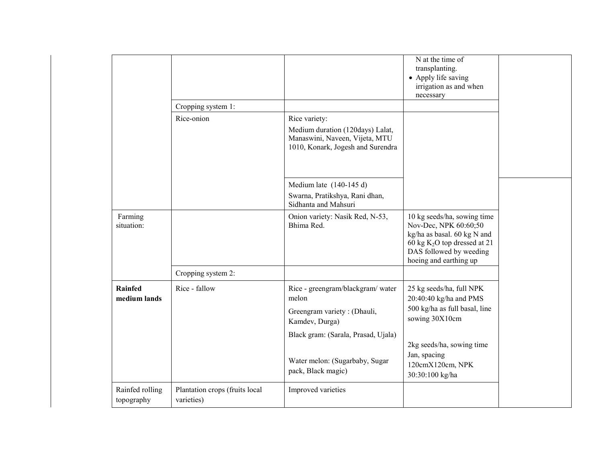|                               |                                              |                                                                                                                          | N at the time of<br>transplanting.<br>• Apply life saving<br>irrigation as and when<br>necessary                                                                          |
|-------------------------------|----------------------------------------------|--------------------------------------------------------------------------------------------------------------------------|---------------------------------------------------------------------------------------------------------------------------------------------------------------------------|
|                               | Cropping system 1:                           |                                                                                                                          |                                                                                                                                                                           |
|                               | Rice-onion                                   | Rice variety:<br>Medium duration (120days) Lalat,<br>Manaswini, Naveen, Vijeta, MTU<br>1010, Konark, Jogesh and Surendra |                                                                                                                                                                           |
|                               |                                              | Medium late $(140-145 d)$                                                                                                |                                                                                                                                                                           |
|                               |                                              | Swarna, Pratikshya, Rani dhan,<br>Sidhanta and Mahsuri                                                                   |                                                                                                                                                                           |
| Farming<br>situation:         |                                              | Onion variety: Nasik Red, N-53,<br>Bhima Red.                                                                            | 10 kg seeds/ha, sowing time<br>Nov-Dec, NPK 60:60;50<br>kg/ha as basal. 60 kg N and<br>60 kg $K2O$ top dressed at 21<br>DAS followed by weeding<br>hoeing and earthing up |
|                               | Cropping system 2:                           |                                                                                                                          |                                                                                                                                                                           |
| Rainfed<br>medium lands       | Rice - fallow                                | Rice - greengram/blackgram/ water<br>melon                                                                               | 25 kg seeds/ha, full NPK<br>20:40:40 kg/ha and PMS                                                                                                                        |
|                               |                                              | Greengram variety: (Dhauli,<br>Kamdev, Durga)                                                                            | 500 kg/ha as full basal, line<br>sowing 30X10cm                                                                                                                           |
|                               |                                              | Black gram: (Sarala, Prasad, Ujala)                                                                                      |                                                                                                                                                                           |
|                               |                                              | Water melon: (Sugarbaby, Sugar<br>pack, Black magic)                                                                     | 2kg seeds/ha, sowing time<br>Jan, spacing<br>120cmX120cm, NPK<br>30:30:100 kg/ha                                                                                          |
| Rainfed rolling<br>topography | Plantation crops (fruits local<br>varieties) | Improved varieties                                                                                                       |                                                                                                                                                                           |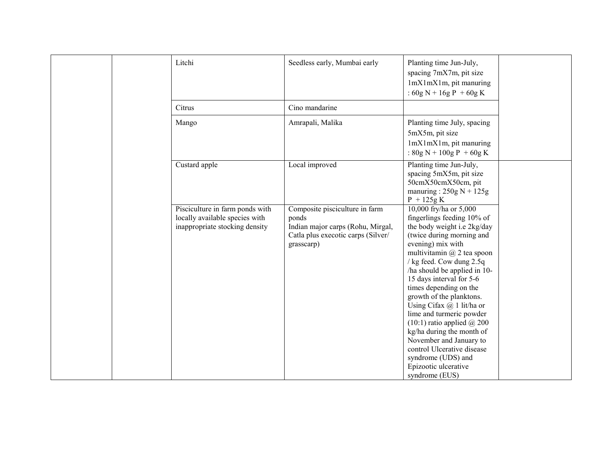|  | Litchi                                                                                              | Seedless early, Mumbai early                                                                                                     | Planting time Jun-July,<br>spacing 7mX7m, pit size                                                                                                                                                                                                                                                                                                                                                                                                                                                                                                                          |  |
|--|-----------------------------------------------------------------------------------------------------|----------------------------------------------------------------------------------------------------------------------------------|-----------------------------------------------------------------------------------------------------------------------------------------------------------------------------------------------------------------------------------------------------------------------------------------------------------------------------------------------------------------------------------------------------------------------------------------------------------------------------------------------------------------------------------------------------------------------------|--|
|  |                                                                                                     |                                                                                                                                  | $lmX1mX1m$ , pit manuring<br>: $60g N + 16g P + 60g K$                                                                                                                                                                                                                                                                                                                                                                                                                                                                                                                      |  |
|  | Citrus                                                                                              | Cino mandarine                                                                                                                   |                                                                                                                                                                                                                                                                                                                                                                                                                                                                                                                                                                             |  |
|  | Mango                                                                                               | Amrapali, Malika                                                                                                                 | Planting time July, spacing<br>5mX5m, pit size<br>1mX1mX1m, pit manuring<br>: $80g N + 100g P + 60g K$                                                                                                                                                                                                                                                                                                                                                                                                                                                                      |  |
|  | Custard apple                                                                                       | Local improved                                                                                                                   | Planting time Jun-July,<br>spacing 5mX5m, pit size<br>50cmX50cmX50cm, pit<br>manuring: $250g N + 125g$<br>$P + 125g K$                                                                                                                                                                                                                                                                                                                                                                                                                                                      |  |
|  | Pisciculture in farm ponds with<br>locally available species with<br>inappropriate stocking density | Composite pisciculture in farm<br>ponds<br>Indian major carps (Rohu, Mirgal,<br>Catla plus execotic carps (Silver/<br>grasscarp) | 10,000 fry/ha or 5,000<br>fingerlings feeding 10% of<br>the body weight i.e 2kg/day<br>(twice during morning and<br>evening) mix with<br>multivitamin $\omega$ 2 tea spoon<br>/ kg feed. Cow dung 2.5q<br>/ha should be applied in 10-<br>15 days interval for 5-6<br>times depending on the<br>growth of the planktons.<br>Using Cifax $@$ 1 lit/ha or<br>lime and turmeric powder<br>$(10:1)$ ratio applied $@$ 200<br>kg/ha during the month of<br>November and January to<br>control Ulcerative disease<br>syndrome (UDS) and<br>Epizootic ulcerative<br>syndrome (EUS) |  |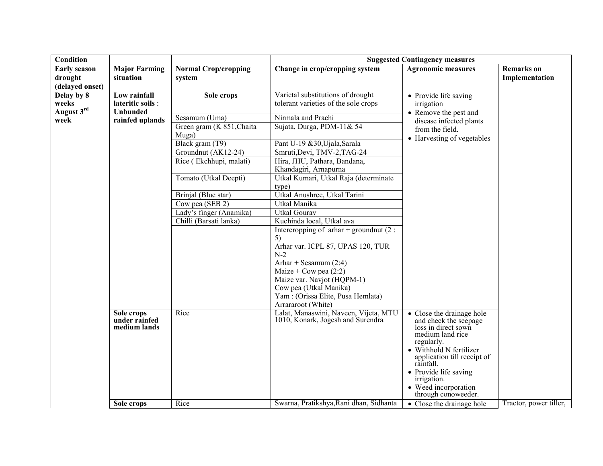| Condition           |                             |                                         |                                                                            | <b>Suggested Contingency measures</b>              |                        |
|---------------------|-----------------------------|-----------------------------------------|----------------------------------------------------------------------------|----------------------------------------------------|------------------------|
| <b>Early season</b> | <b>Major Farming</b>        | <b>Normal Crop/cropping</b>             | Change in crop/cropping system                                             | <b>Agronomic measures</b>                          | <b>Remarks</b> on      |
| drought             | situation                   | system                                  |                                                                            |                                                    | Implementation         |
| (delayed onset)     |                             |                                         |                                                                            |                                                    |                        |
| Delay by 8          | Low rainfall                | Sole crops                              | Varietal substitutions of drought                                          | • Provide life saving                              |                        |
| weeks               | lateritic soils :           |                                         | tolerant varieties of the sole crops                                       | irrigation                                         |                        |
| August 3rd          | Unbunded                    |                                         |                                                                            | • Remove the pest and                              |                        |
| week                | rainfed uplands             | Sesamum (Uma)                           | Nirmala and Prachi                                                         | disease infected plants                            |                        |
|                     |                             | Green gram ( $\overline{K}$ 851, Chaita | Sujata, Durga, PDM-11& 54                                                  | from the field.                                    |                        |
|                     |                             | Muga)                                   |                                                                            | • Harvesting of vegetables                         |                        |
|                     |                             | Black gram (T9)                         | Pant U-19 &30, Ujala, Sarala                                               |                                                    |                        |
|                     |                             | Groundnut (AK12-24)                     | Smruti, Devi, TMV-2, TAG-24                                                |                                                    |                        |
|                     |                             | Rice (Ekchhupi, malati)                 | Hira, JHU, Pathara, Bandana,                                               |                                                    |                        |
|                     |                             |                                         | Khandagiri, Arnapurna                                                      |                                                    |                        |
|                     |                             | Tomato (Utkal Deepti)                   | Utkal Kumari, Utkal Raja (determinate                                      |                                                    |                        |
|                     |                             |                                         | type)                                                                      |                                                    |                        |
|                     |                             | Brinjal (Blue star)                     | Utkal Anushree, Utkal Tarini                                               |                                                    |                        |
|                     |                             | Cow pea (SEB 2)                         | Utkal Manika                                                               |                                                    |                        |
|                     |                             | Lady's finger (Anamika)                 | <b>Utkal Gourav</b>                                                        |                                                    |                        |
|                     |                             | Chilli (Barsati lanka)                  | Kuchinda local, Utkal ava                                                  |                                                    |                        |
|                     |                             |                                         | Intercropping of $\pi$ har + groundnut (2 :                                |                                                    |                        |
|                     |                             |                                         | 5)                                                                         |                                                    |                        |
|                     |                             |                                         | Arhar var. ICPL 87, UPAS 120, TUR                                          |                                                    |                        |
|                     |                             |                                         | $N-2$                                                                      |                                                    |                        |
|                     |                             |                                         | Arhar + Sesamum $(2:4)$                                                    |                                                    |                        |
|                     |                             |                                         | Maize + Cow pea $(2:2)$                                                    |                                                    |                        |
|                     |                             |                                         | Maize var. Navjot (HQPM-1)                                                 |                                                    |                        |
|                     |                             |                                         | Cow pea (Utkal Manika)                                                     |                                                    |                        |
|                     |                             |                                         | Yam: (Orissa Elite, Pusa Hemlata)                                          |                                                    |                        |
|                     |                             |                                         | Arrararoot (White)                                                         |                                                    |                        |
|                     | Sole crops<br>under rainfed | Rice                                    | Lalat, Manaswini, Naveen, Vijeta, MTU<br>1010, Konark, Jogesh and Surendra | • Close the drainage hole<br>and check the seepage |                        |
|                     | medium lands                |                                         |                                                                            | loss in direct sown                                |                        |
|                     |                             |                                         |                                                                            | medium land rice                                   |                        |
|                     |                             |                                         |                                                                            | regularly.                                         |                        |
|                     |                             |                                         |                                                                            | • Withhold N fertilizer                            |                        |
|                     |                             |                                         |                                                                            | application till receipt of<br>rainfall.           |                        |
|                     |                             |                                         |                                                                            | • Provide life saving                              |                        |
|                     |                             |                                         |                                                                            | irrigation.                                        |                        |
|                     |                             |                                         |                                                                            | • Weed incorporation                               |                        |
|                     |                             |                                         |                                                                            | through conoweeder.                                |                        |
|                     | Sole crops                  | Rice                                    | Swarna, Pratikshya, Rani dhan, Sidhanta                                    | • Close the drainage hole                          | Tractor, power tiller, |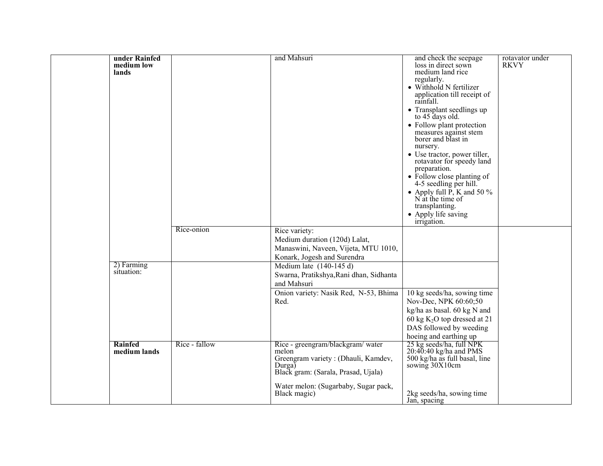| under Rainfed<br>medium low<br>lands |               | and Mahsuri                                                                                                                                                                                        | and check the seepage<br>loss in direct sown<br>medium land rice<br>regularly.<br>• Withhold N fertilizer<br>application till receipt of<br>rainfall.<br>• Transplant seedlings up<br>to 45 days old.<br>• Follow plant protection<br>measures against stem<br>borer and blast in<br>nursery.<br>• Use tractor, power tiller,<br>rotavator for speedy land<br>preparation.<br>• Follow close planting of<br>4-5 seedling per hill.<br>• Apply full $\overline{P}$ , K and 50 %<br>N at the time of<br>transplanting.<br>• Apply life saving<br>irrigation. | rotavator under<br><b>RKVY</b> |
|--------------------------------------|---------------|----------------------------------------------------------------------------------------------------------------------------------------------------------------------------------------------------|------------------------------------------------------------------------------------------------------------------------------------------------------------------------------------------------------------------------------------------------------------------------------------------------------------------------------------------------------------------------------------------------------------------------------------------------------------------------------------------------------------------------------------------------------------|--------------------------------|
|                                      | Rice-onion    | Rice variety:<br>Medium duration (120d) Lalat,<br>Manaswini, Naveen, Vijeta, MTU 1010,<br>Konark, Jogesh and Surendra                                                                              |                                                                                                                                                                                                                                                                                                                                                                                                                                                                                                                                                            |                                |
| 2) Farming<br>situation:             |               | Medium late $(140-145 d)$<br>Swarna, Pratikshya, Rani dhan, Sidhanta<br>and Mahsuri<br>Onion variety: Nasik Red, N-53, Bhima<br>Red.                                                               | 10 kg seeds/ha, sowing time<br>Nov-Dec, NPK 60:60;50<br>kg/ha as basal. 60 kg N and<br>60 kg $K_2O$ top dressed at 21<br>DAS followed by weeding<br>hoeing and earthing up                                                                                                                                                                                                                                                                                                                                                                                 |                                |
| Rainfed<br>medium lands              | Rice - fallow | Rice - greengram/blackgram/ water<br>melon<br>Greengram variety: (Dhauli, Kamdev,<br>$Durga\bar{b}$<br>Black gram: (Sarala, Prasad, Ujala)<br>Water melon: (Sugarbaby, Sugar pack,<br>Black magic) | 25 kg seeds/ha, full NPK<br>$20:40:40$ kg/ha and PMS<br>500 kg/ha as full basal, line<br>sowing 30X10cm<br>2kg seeds/ha, sowing time<br>Jan, spacing                                                                                                                                                                                                                                                                                                                                                                                                       |                                |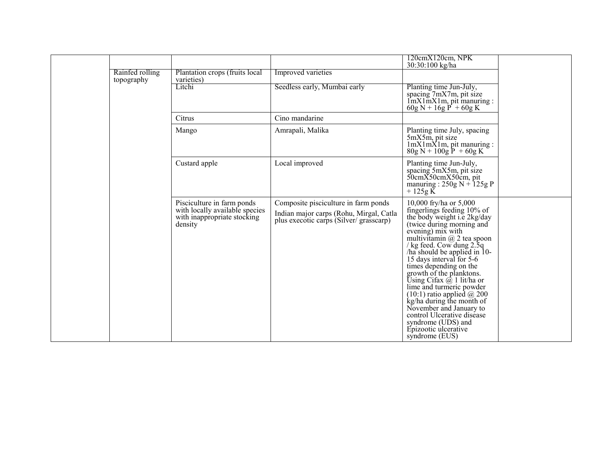|                               |                                                                                                        |                                                                                                                           | 120cmX120cm, NPK<br>30:30:100 kg/ha                                                                                                                                                                                                                                                                                                                                                                                                                                                                                                                                       |  |
|-------------------------------|--------------------------------------------------------------------------------------------------------|---------------------------------------------------------------------------------------------------------------------------|---------------------------------------------------------------------------------------------------------------------------------------------------------------------------------------------------------------------------------------------------------------------------------------------------------------------------------------------------------------------------------------------------------------------------------------------------------------------------------------------------------------------------------------------------------------------------|--|
| Rainfed rolling<br>topography | Plantation crops (fruits local<br>varieties)                                                           | Improved varieties                                                                                                        |                                                                                                                                                                                                                                                                                                                                                                                                                                                                                                                                                                           |  |
|                               | Litchi                                                                                                 | Seedless early, Mumbai early                                                                                              | Planting time Jun-July,<br>spacing 7mX7m, pit size<br>$\lim_{x \to 0}$ $\lim_{x \to 0}$ $\lim_{x \to 0}$ $\lim_{x \to 0}$ $\lim_{x \to 0}$ $\lim_{x \to 0}$ $\lim_{x \to 0}$<br>$60g N + 16g P + 60g K$                                                                                                                                                                                                                                                                                                                                                                   |  |
|                               | Citrus                                                                                                 | Cino mandarine                                                                                                            |                                                                                                                                                                                                                                                                                                                                                                                                                                                                                                                                                                           |  |
|                               | Mango                                                                                                  | Amrapali, Malika                                                                                                          | Planting time July, spacing<br>5mX5m, pit size<br>1mX1mX1m, pit manuring :<br>$80g N + 100g P + 60g K$                                                                                                                                                                                                                                                                                                                                                                                                                                                                    |  |
|                               | Custard apple                                                                                          | Local improved                                                                                                            | Planting time Jun-July,<br>spacing 5mX5m, pit size<br>50cmX50cmX50cm, pit<br>manuring : $250g N + 125g P$<br>$+125g K$                                                                                                                                                                                                                                                                                                                                                                                                                                                    |  |
|                               | Pisciculture in farm ponds<br>with locally available species<br>with inappropriate stocking<br>density | Composite pisciculture in farm ponds<br>Indian major carps (Rohu, Mirgal, Catla<br>plus execotic carps (Silver/grasscarp) | 10,000 fry/ha or 5,000<br>fingerlings feeding 10% of<br>the body weight i.e 2kg/day<br>(twice during morning and<br>evening) $mix$ with<br>multivitamin @ 2 tea spoon<br>/ kg feed. Cow dung 2.5q<br>/ha should be applied in 10-<br>15 days interval for 5-6<br>times depending on the<br>growth of the planktons.<br>Using Cifax $\omega$ 1 lit/ha or<br>lime and turmeric powder<br>$(10:1)$ ratio applied @ 200<br>kg/ha during the month of<br>November and January to<br>control Ulcerative disease<br>syndrome (UDS) and<br>Epizootic ulcerative<br>syndrome (EUS) |  |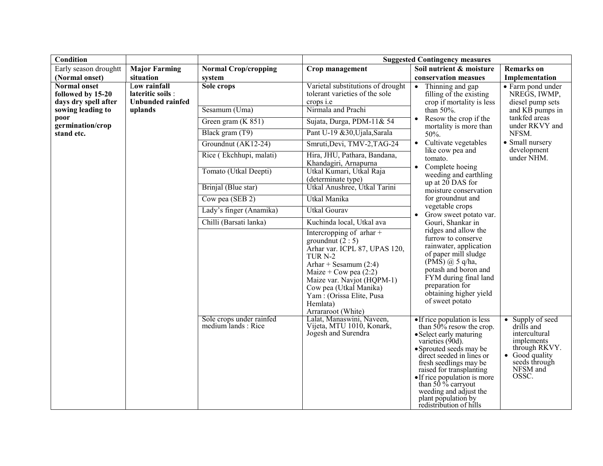| <b>Condition</b>                                                 |                                                              |                                                |                                                                                                                                                                                                                                                                                                                     | <b>Suggested Contingency measures</b>                                                                                                                                                                                                                                                                                                                        |                                                                                                                                                   |
|------------------------------------------------------------------|--------------------------------------------------------------|------------------------------------------------|---------------------------------------------------------------------------------------------------------------------------------------------------------------------------------------------------------------------------------------------------------------------------------------------------------------------|--------------------------------------------------------------------------------------------------------------------------------------------------------------------------------------------------------------------------------------------------------------------------------------------------------------------------------------------------------------|---------------------------------------------------------------------------------------------------------------------------------------------------|
| Early season droughtt                                            | <b>Major Farming</b>                                         | <b>Normal Crop/cropping</b>                    | Crop management                                                                                                                                                                                                                                                                                                     | Soil nutrient & moisture                                                                                                                                                                                                                                                                                                                                     | <b>Remarks</b> on                                                                                                                                 |
| (Normal onset)                                                   | situation                                                    | system                                         |                                                                                                                                                                                                                                                                                                                     | conservation measues                                                                                                                                                                                                                                                                                                                                         | Implementation                                                                                                                                    |
| <b>Normal onset</b><br>followed by 15-20<br>days dry spell after | Low rainfall<br>lateritic soils :<br><b>Unbunded rainfed</b> | Sole crops                                     | Varietal substitutions of drought<br>tolerant varieties of the sole<br>crops <i>i.e</i>                                                                                                                                                                                                                             | Thinning and gap<br>filling of the existing<br>crop if mortality is less                                                                                                                                                                                                                                                                                     | • Farm pond under<br>NREGS, IWMP,<br>diesel pump sets                                                                                             |
| sowing leading to                                                | uplands                                                      | Sesamum (Uma)                                  | Nirmala and Prachi                                                                                                                                                                                                                                                                                                  | than 50%.                                                                                                                                                                                                                                                                                                                                                    | and KB pumps in                                                                                                                                   |
| poor<br>germination/crop                                         |                                                              | Green gram $(K 851)$                           | Sujata, Durga, PDM-11& 54                                                                                                                                                                                                                                                                                           | Resow the crop if the<br>$\bullet$<br>mortality is more than                                                                                                                                                                                                                                                                                                 | tankfed areas<br>under RKVY and                                                                                                                   |
| stand etc.                                                       |                                                              | Black gram (T9)                                | Pant U-19 &30, Ujala, Sarala                                                                                                                                                                                                                                                                                        | 50%.                                                                                                                                                                                                                                                                                                                                                         | NFSM.                                                                                                                                             |
|                                                                  |                                                              | Groundnut (AK12-24)                            | Smruti, Devi, TMV-2, TAG-24                                                                                                                                                                                                                                                                                         | Cultivate vegetables<br>$\bullet$<br>like cow pea and                                                                                                                                                                                                                                                                                                        | • Small nursery<br>development                                                                                                                    |
|                                                                  |                                                              | Rice (Ekchhupi, malati)                        | Hira, JHU, Pathara, Bandana,<br>Khandagiri, Arnapurna                                                                                                                                                                                                                                                               | tomato.                                                                                                                                                                                                                                                                                                                                                      | under NHM.                                                                                                                                        |
|                                                                  |                                                              | Tomato (Utkal Deepti)                          | Utkal Kumari, Utkal Raja<br>(determinate type)                                                                                                                                                                                                                                                                      | Complete hoeing<br>$\bullet$<br>weeding and earthling<br>up at $20$ DAS for                                                                                                                                                                                                                                                                                  |                                                                                                                                                   |
|                                                                  |                                                              | Brinjal (Blue star)                            | Utkal Anushree, Utkal Tarini                                                                                                                                                                                                                                                                                        | moisture conservation                                                                                                                                                                                                                                                                                                                                        |                                                                                                                                                   |
|                                                                  |                                                              | Cow pea (SEB 2)                                | Utkal Manika                                                                                                                                                                                                                                                                                                        | for groundnut and<br>vegetable crops                                                                                                                                                                                                                                                                                                                         |                                                                                                                                                   |
|                                                                  |                                                              | Lady's finger (Anamika)                        | <b>Utkal Gourav</b>                                                                                                                                                                                                                                                                                                 | Grow sweet potato var.<br>$\bullet$                                                                                                                                                                                                                                                                                                                          |                                                                                                                                                   |
|                                                                  |                                                              | Chilli (Barsati lanka)                         | Kuchinda local, Utkal ava                                                                                                                                                                                                                                                                                           | Gouri, Shankar in                                                                                                                                                                                                                                                                                                                                            |                                                                                                                                                   |
|                                                                  |                                                              |                                                | Intercropping of $\pi$ thar +<br>ground nut $(2:5)$<br>Arhar var. ICPL 87, UPAS 120,<br>TUR <sub>N-2</sub><br>Arhar + Sesamum $(2:4)$<br>Maize + Cow pea $(2:2)$<br>Maize var. Navjot (HQPM-1)<br>Cow pea (Utkal Manika)<br>Yam: (Orissa Elite, Pusa<br>Hemlata)<br>Arrararoot (White)<br>Lalat, Manaswini, Naveen, | ridges and allow the<br>furrow to conserve<br>rainwater, application<br>of paper mill sludge<br>$(\overrightarrow{PMS})$ $\omega$ 5 q/ha,<br>potash and boron and<br>FYM during final land<br>preparation for<br>obtaining higher yield<br>of sweet potato                                                                                                   |                                                                                                                                                   |
|                                                                  |                                                              | Sole crops under rainfed<br>medium lands: Rice | Vijeta, MTU 1010, Konark,<br>Jogesh and Surendra                                                                                                                                                                                                                                                                    | • If rice population is less<br>than $50\%$ resow the crop.<br>• Select early maturing<br>varieties $(90d)$ .<br>• Sprouted seeds may be<br>direct seeded in lines or<br>fresh seedlings may be<br>raised for transplanting<br>• If rice population is more than 50 $%$ carryout<br>weeding and adjust the<br>plant population by<br>redistribution of hills | Supply of seed<br>$\bullet$<br>drills and<br>intercultural<br>implements<br>through RKVY.<br>• Good quality<br>seeds through<br>NFSM and<br>OSSC. |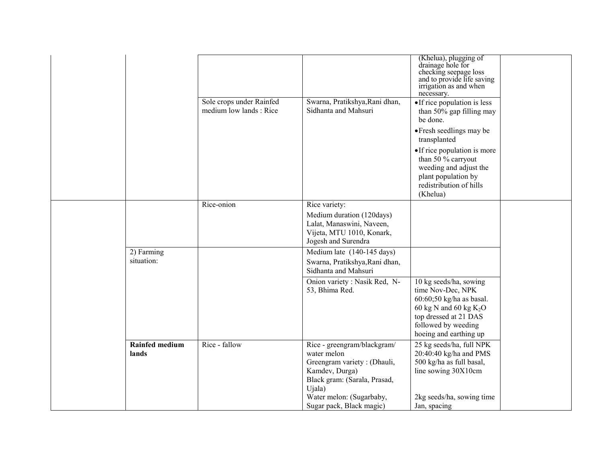|                                |                                                     |                                                                                                                                       | (Khelua), plugging of<br>drainage hole for<br>checking seepage loss<br>and to provide life saving<br>irrigation as and when<br>necessary.                                     |
|--------------------------------|-----------------------------------------------------|---------------------------------------------------------------------------------------------------------------------------------------|-------------------------------------------------------------------------------------------------------------------------------------------------------------------------------|
|                                | Sole crops under Rainfed<br>medium low lands : Rice | Swarna, Pratikshya, Rani dhan,<br>Sidhanta and Mahsuri                                                                                | • If rice population is less<br>than 50% gap filling may<br>be done.                                                                                                          |
|                                |                                                     |                                                                                                                                       | • Fresh seedlings may be<br>transplanted                                                                                                                                      |
|                                |                                                     |                                                                                                                                       | • If rice population is more<br>than 50 % carryout<br>weeding and adjust the<br>plant population by<br>redistribution of hills<br>(Khelua)                                    |
|                                | Rice-onion                                          | Rice variety:<br>Medium duration (120days)<br>Lalat, Manaswini, Naveen,<br>Vijeta, MTU 1010, Konark,<br>Jogesh and Surendra           |                                                                                                                                                                               |
| 2) Farming<br>situation:       |                                                     | Medium late (140-145 days)<br>Swarna, Pratikshya, Rani dhan,<br>Sidhanta and Mahsuri                                                  |                                                                                                                                                                               |
|                                |                                                     | Onion variety : Nasik Red, N-<br>53, Bhima Red.                                                                                       | 10 kg seeds/ha, sowing<br>time Nov-Dec, NPK<br>60:60;50 kg/ha as basal.<br>60 kg N and 60 kg $K_2O$<br>top dressed at 21 DAS<br>followed by weeding<br>hoeing and earthing up |
| <b>Rainfed medium</b><br>lands | Rice - fallow                                       | Rice - greengram/blackgram/<br>water melon<br>Greengram variety: (Dhauli,<br>Kamdev, Durga)<br>Black gram: (Sarala, Prasad,<br>Ujala) | 25 kg seeds/ha, full NPK<br>20:40:40 kg/ha and PMS<br>500 kg/ha as full basal,<br>line sowing 30X10cm                                                                         |
|                                |                                                     | Water melon: (Sugarbaby,<br>Sugar pack, Black magic)                                                                                  | 2kg seeds/ha, sowing time<br>Jan, spacing                                                                                                                                     |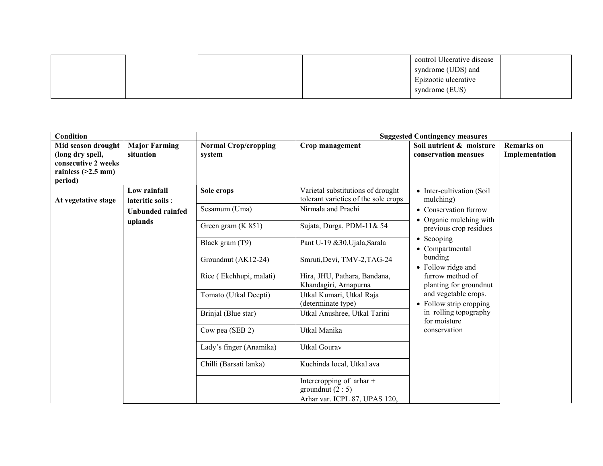|  |  | control Ulcerative disease<br>syndrome (UDS) and |  |
|--|--|--------------------------------------------------|--|
|  |  | Epizootic ulcerative                             |  |
|  |  | syndrome (EUS)                                   |  |

| Condition            |                      |                             |                                                                                      | <b>Suggested Contingency measures</b>             |                   |
|----------------------|----------------------|-----------------------------|--------------------------------------------------------------------------------------|---------------------------------------------------|-------------------|
| Mid season drought   | <b>Major Farming</b> | <b>Normal Crop/cropping</b> | Crop management                                                                      | Soil nutrient & moisture                          | <b>Remarks</b> on |
| (long dry spell,     | situation            | system                      |                                                                                      | conservation measues                              | Implementation    |
| consecutive 2 weeks  |                      |                             |                                                                                      |                                                   |                   |
| rainless $(>2.5$ mm) |                      |                             |                                                                                      |                                                   |                   |
| period)              |                      |                             |                                                                                      |                                                   |                   |
|                      | Low rainfall         | Sole crops                  | Varietal substitutions of drought                                                    | • Inter-cultivation (Soil                         |                   |
| At vegetative stage  | lateritic soils :    |                             | tolerant varieties of the sole crops                                                 | mulching)                                         |                   |
|                      | Unbunded rainfed     | Sesamum (Uma)               | Nirmala and Prachi                                                                   | • Conservation furrow                             |                   |
|                      | uplands              | Green gram (K 851)          | Sujata, Durga, PDM-11& 54                                                            | • Organic mulching with<br>previous crop residues |                   |
|                      |                      | Black gram (T9)             | Pant U-19 & 30, Ujala, Sarala                                                        | • Scooping<br>• Compartmental                     |                   |
|                      |                      | Groundnut (AK12-24)         | Smruti, Devi, TMV-2, TAG-24                                                          | bunding<br>• Follow ridge and                     |                   |
|                      |                      | Rice (Ekchhupi, malati)     | Hira, JHU, Pathara, Bandana,<br>Khandagiri, Arnapurna                                | furrow method of<br>planting for groundnut        |                   |
|                      |                      | Tomato (Utkal Deepti)       | Utkal Kumari, Utkal Raja<br>(determinate type)                                       | and vegetable crops.<br>• Follow strip cropping   |                   |
|                      |                      | Brinjal (Blue star)         | Utkal Anushree, Utkal Tarini                                                         | in rolling topography<br>for moisture             |                   |
|                      |                      | Cow pea (SEB 2)             | Utkal Manika                                                                         | conservation                                      |                   |
|                      |                      | Lady's finger (Anamika)     | <b>Utkal Gourav</b>                                                                  |                                                   |                   |
|                      |                      | Chilli (Barsati lanka)      | Kuchinda local, Utkal ava                                                            |                                                   |                   |
|                      |                      |                             | Intercropping of $\pi$ thar +<br>ground nut $(2:5)$<br>Arhar var. ICPL 87, UPAS 120, |                                                   |                   |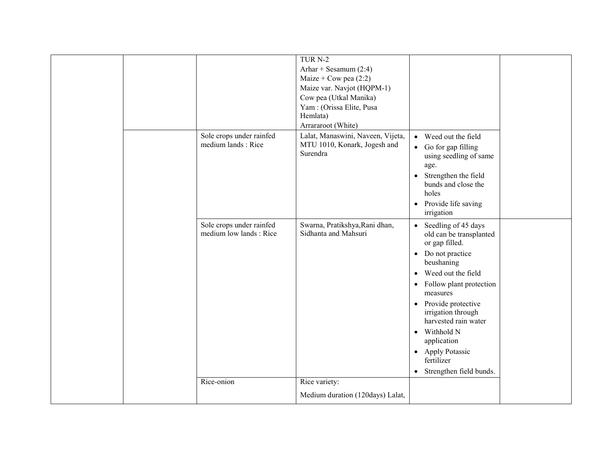|  |                          | TUR <sub>N-2</sub>                                 |                                                  |  |
|--|--------------------------|----------------------------------------------------|--------------------------------------------------|--|
|  |                          | Arhar + Sesamum $(2:4)$<br>Maize + Cow pea $(2:2)$ |                                                  |  |
|  |                          | Maize var. Navjot (HQPM-1)                         |                                                  |  |
|  |                          | Cow pea (Utkal Manika)                             |                                                  |  |
|  |                          | Yam: (Orissa Elite, Pusa                           |                                                  |  |
|  |                          | Hemlata)                                           |                                                  |  |
|  |                          | Arrararoot (White)                                 |                                                  |  |
|  | Sole crops under rainfed | Lalat, Manaswini, Naveen, Vijeta,                  | • Weed out the field                             |  |
|  | medium lands: Rice       | MTU 1010, Konark, Jogesh and                       | • Go for gap filling                             |  |
|  |                          | Surendra                                           | using seedling of same                           |  |
|  |                          |                                                    | age.                                             |  |
|  |                          |                                                    | • Strengthen the field                           |  |
|  |                          |                                                    | bunds and close the                              |  |
|  |                          |                                                    | holes                                            |  |
|  |                          |                                                    | • Provide life saving                            |  |
|  |                          |                                                    | irrigation                                       |  |
|  | Sole crops under rainfed | Swarna, Pratikshya, Rani dhan,                     | Seedling of 45 days<br>$\bullet$                 |  |
|  | medium low lands: Rice   | Sidhanta and Mahsuri                               | old can be transplanted                          |  |
|  |                          |                                                    | or gap filled.                                   |  |
|  |                          |                                                    | Do not practice<br>$\bullet$                     |  |
|  |                          |                                                    | beushaning                                       |  |
|  |                          |                                                    | Weed out the field<br>$\bullet$                  |  |
|  |                          |                                                    | Follow plant protection<br>$\bullet$<br>measures |  |
|  |                          |                                                    |                                                  |  |
|  |                          |                                                    | • Provide protective<br>irrigation through       |  |
|  |                          |                                                    | harvested rain water                             |  |
|  |                          |                                                    | • Withhold N                                     |  |
|  |                          |                                                    | application                                      |  |
|  |                          |                                                    | • Apply Potassic                                 |  |
|  |                          |                                                    | fertilizer                                       |  |
|  |                          |                                                    | • Strengthen field bunds.                        |  |
|  | Rice-onion               | Rice variety:                                      |                                                  |  |
|  |                          | Medium duration (120days) Lalat,                   |                                                  |  |
|  |                          |                                                    |                                                  |  |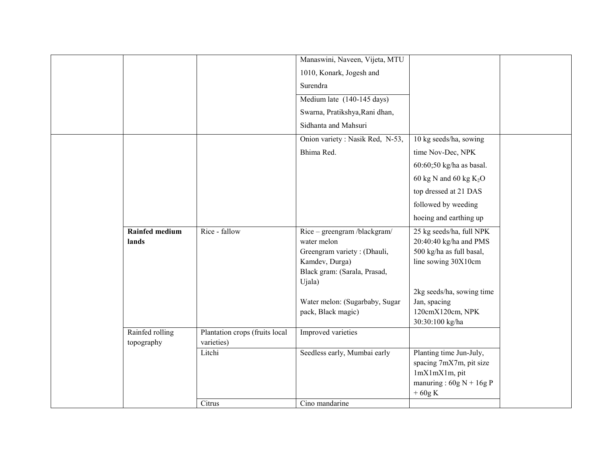|                       |                                | Manaswini, Naveen, Vijeta, MTU   |                                       |
|-----------------------|--------------------------------|----------------------------------|---------------------------------------|
|                       |                                | 1010, Konark, Jogesh and         |                                       |
|                       |                                | Surendra                         |                                       |
|                       |                                | Medium late (140-145 days)       |                                       |
|                       |                                | Swarna, Pratikshya, Rani dhan,   |                                       |
|                       |                                | Sidhanta and Mahsuri             |                                       |
|                       |                                | Onion variety : Nasik Red, N-53, | 10 kg seeds/ha, sowing                |
|                       |                                | Bhima Red.                       | time Nov-Dec, NPK                     |
|                       |                                |                                  |                                       |
|                       |                                |                                  | 60:60;50 kg/ha as basal.              |
|                       |                                |                                  | 60 kg N and 60 kg $K_2O$              |
|                       |                                |                                  | top dressed at 21 DAS                 |
|                       |                                |                                  | followed by weeding                   |
|                       |                                |                                  | hoeing and earthing up                |
| <b>Rainfed medium</b> | Rice - fallow                  | Rice - greengram /blackgram/     | 25 kg seeds/ha, full NPK              |
| lands                 |                                | water melon                      | 20:40:40 kg/ha and PMS                |
|                       |                                | Greengram variety: (Dhauli,      | 500 kg/ha as full basal,              |
|                       |                                | Kamdev, Durga)                   | line sowing 30X10cm                   |
|                       |                                | Black gram: (Sarala, Prasad,     |                                       |
|                       |                                | Ujala)                           | 2kg seeds/ha, sowing time             |
|                       |                                | Water melon: (Sugarbaby, Sugar   | Jan, spacing                          |
|                       |                                | pack, Black magic)               | 120cmX120cm, NPK                      |
|                       |                                |                                  | 30:30:100 kg/ha                       |
| Rainfed rolling       | Plantation crops (fruits local | Improved varieties               |                                       |
| topography            | varieties)                     |                                  |                                       |
|                       | Litchi                         | Seedless early, Mumbai early     | Planting time Jun-July,               |
|                       |                                |                                  | spacing 7mX7m, pit size               |
|                       |                                |                                  | 1mX1mX1m, pit                         |
|                       |                                |                                  | manuring: $60g N + 16g P$<br>$+60g K$ |
|                       | Citrus                         | Cino mandarine                   |                                       |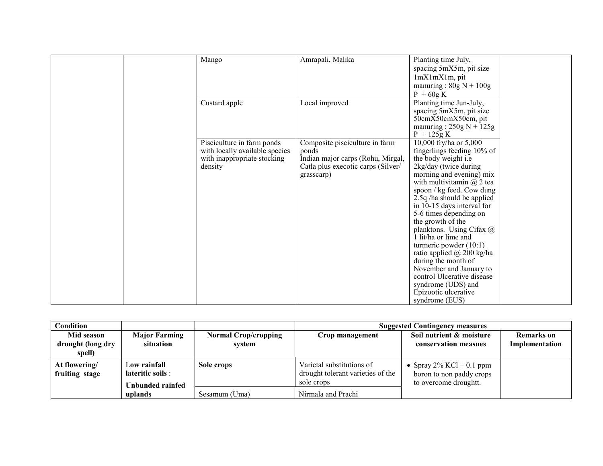| Mango                          | Amrapali, Malika                   | Planting time July,                                       |
|--------------------------------|------------------------------------|-----------------------------------------------------------|
|                                |                                    | spacing 5mX5m, pit size                                   |
|                                |                                    | lmXlmXlm, pit                                             |
|                                |                                    | manuring: $80g N + 100g$                                  |
|                                |                                    | $P + 60gK$                                                |
| Custard apple                  | Local improved                     | Planting time Jun-July,                                   |
|                                |                                    | spacing 5mX5m, pit size                                   |
|                                |                                    | 50cmX50cmX50cm, pit                                       |
|                                |                                    | manuring: $250g N + 125g$                                 |
|                                |                                    | $P + 125g K$                                              |
| Pisciculture in farm ponds     | Composite pisciculture in farm     | 10,000 fry/ha or 5,000                                    |
| with locally available species | ponds                              | fingerlings feeding 10% of                                |
| with inappropriate stocking    | Indian major carps (Rohu, Mirgal,  | the body weight i.e                                       |
| density                        | Catla plus execotic carps (Silver/ | 2kg/day (twice during                                     |
|                                | grasscarp)                         | morning and evening) mix                                  |
|                                |                                    | with multivitamin $@$ 2 tea                               |
|                                |                                    | spoon / kg feed. Cow dung<br>$2.5q$ /ha should be applied |
|                                |                                    | in 10-15 days interval for                                |
|                                |                                    | 5-6 times depending on                                    |
|                                |                                    | the growth of the                                         |
|                                |                                    | planktons. Using Cifax @                                  |
|                                |                                    | 1 lit/ha or lime and                                      |
|                                |                                    | turmeric powder $(10:1)$                                  |
|                                |                                    | ratio applied $\omega$ 200 kg/ha                          |
|                                |                                    | during the month of                                       |
|                                |                                    | November and January to                                   |
|                                |                                    | control Ulcerative disease                                |
|                                |                                    | syndrome (UDS) and                                        |
|                                |                                    | Epizootic ulcerative                                      |
|                                |                                    | syndrome (EUS)                                            |

| Condition                                 |                                                       |                                       | <b>Suggested Contingency measures</b>                                        |                                                                                  |                                     |
|-------------------------------------------|-------------------------------------------------------|---------------------------------------|------------------------------------------------------------------------------|----------------------------------------------------------------------------------|-------------------------------------|
| Mid season<br>drought (long dry<br>spell) | <b>Major Farming</b><br>situation                     | <b>Normal Crop/cropping</b><br>system | Crop management                                                              | Soil nutrient & moisture<br>conservation measues                                 | <b>Remarks</b> on<br>Implementation |
| At flowering/<br>fruiting stage           | Low rainfall<br>lateritic soils :<br>Unbunded rainfed | Sole crops                            | Varietal substitutions of<br>drought tolerant varieties of the<br>sole crops | • Spray $2\%$ KCl + 0.1 ppm<br>boron to non paddy crops<br>to overcome droughtt. |                                     |
|                                           | uplands                                               | Sesamum (Uma)                         | Nirmala and Prachi                                                           |                                                                                  |                                     |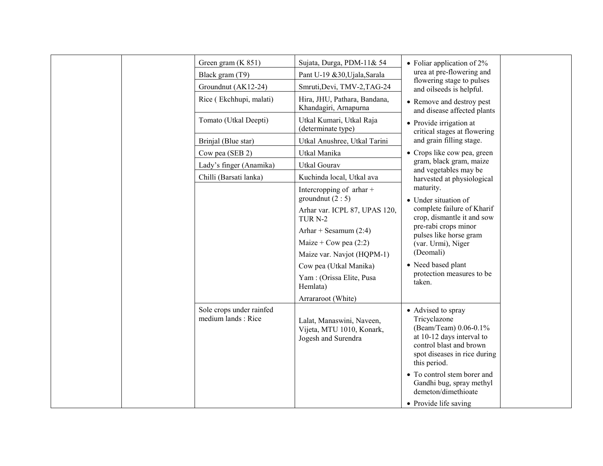|  | Green gram (K 851)                             | Sujata, Durga, PDM-11& 54                                                     | • Foliar application of $2\%$                                                                                                                                       |  |
|--|------------------------------------------------|-------------------------------------------------------------------------------|---------------------------------------------------------------------------------------------------------------------------------------------------------------------|--|
|  | Black gram (T9)                                | Pant U-19 &30, Ujala, Sarala                                                  | urea at pre-flowering and                                                                                                                                           |  |
|  | Groundnut (AK12-24)                            | Smruti, Devi, TMV-2, TAG-24                                                   | flowering stage to pulses<br>and oilseeds is helpful.                                                                                                               |  |
|  | Rice (Ekchhupi, malati)                        | Hira, JHU, Pathara, Bandana,<br>Khandagiri, Arnapurna                         | • Remove and destroy pest<br>and disease affected plants                                                                                                            |  |
|  | Tomato (Utkal Deepti)                          | Utkal Kumari, Utkal Raja<br>(determinate type)                                | • Provide irrigation at<br>critical stages at flowering                                                                                                             |  |
|  | Brinjal (Blue star)                            | Utkal Anushree, Utkal Tarini                                                  | and grain filling stage.                                                                                                                                            |  |
|  | Cow pea (SEB 2)                                | Utkal Manika                                                                  | • Crops like cow pea, green                                                                                                                                         |  |
|  | Lady's finger (Anamika)                        | <b>Utkal Gourav</b>                                                           | gram, black gram, maize<br>and vegetables may be                                                                                                                    |  |
|  | Chilli (Barsati lanka)                         | Kuchinda local, Utkal ava                                                     | harvested at physiological                                                                                                                                          |  |
|  |                                                | Intercropping of $\pi$ thar +<br>ground nut $(2:5)$                           | maturity.<br>• Under situation of                                                                                                                                   |  |
|  |                                                | Arhar var. ICPL 87, UPAS 120,<br>TUR <sub>N-2</sub>                           | complete failure of Kharif<br>crop, dismantle it and sow                                                                                                            |  |
|  |                                                | Arhar + Sesamum $(2:4)$                                                       | pre-rabi crops minor<br>pulses like horse gram                                                                                                                      |  |
|  |                                                | Maize + Cow pea $(2:2)$                                                       | (var. Urmi), Niger                                                                                                                                                  |  |
|  |                                                | Maize var. Navjot (HQPM-1)                                                    | (Deomali)                                                                                                                                                           |  |
|  |                                                | Cow pea (Utkal Manika)                                                        | • Need based plant                                                                                                                                                  |  |
|  |                                                | Yam: (Orissa Elite, Pusa<br>Hemlata)                                          | protection measures to be<br>taken.                                                                                                                                 |  |
|  |                                                | Arrararoot (White)                                                            |                                                                                                                                                                     |  |
|  | Sole crops under rainfed<br>medium lands: Rice | Lalat, Manaswini, Naveen,<br>Vijeta, MTU 1010, Konark,<br>Jogesh and Surendra | • Advised to spray<br>Tricyclazone<br>(Beam/Team) 0.06-0.1%<br>at 10-12 days interval to<br>control blast and brown<br>spot diseases in rice during<br>this period. |  |
|  |                                                |                                                                               | • To control stem borer and<br>Gandhi bug, spray methyl<br>demeton/dimethioate                                                                                      |  |
|  |                                                |                                                                               | • Provide life saving                                                                                                                                               |  |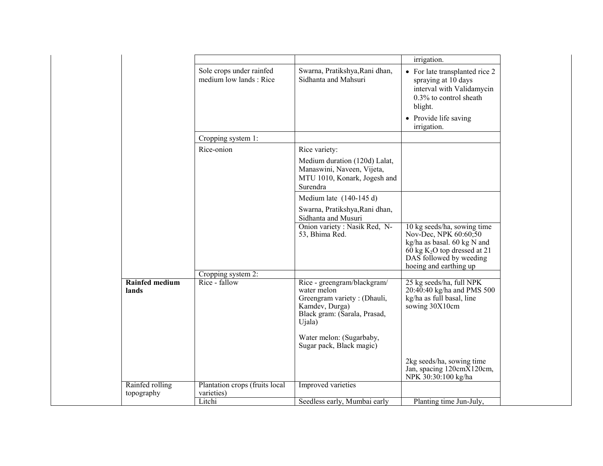|                                |                                                    |                                                                                                                                       | irrigation.                                                                                                                                                                |
|--------------------------------|----------------------------------------------------|---------------------------------------------------------------------------------------------------------------------------------------|----------------------------------------------------------------------------------------------------------------------------------------------------------------------------|
|                                | Sole crops under rainfed<br>medium low lands: Rice | Swarna, Pratikshya, Rani dhan,<br>Sidhanta and Mahsuri                                                                                | • For late transplanted rice 2<br>spraying at 10 days<br>interval with Validamycin<br>0.3% to control sheath<br>blight.<br>• Provide life saving<br>irrigation.            |
|                                | Cropping system 1:                                 |                                                                                                                                       |                                                                                                                                                                            |
|                                | Rice-onion                                         | Rice variety:<br>Medium duration (120d) Lalat,<br>Manaswini, Naveen, Vijeta,<br>MTU 1010, Konark, Jogesh and<br>Surendra              |                                                                                                                                                                            |
|                                |                                                    | Medium late $(140-145 d)$                                                                                                             |                                                                                                                                                                            |
|                                |                                                    | Swarna, Pratikshya, Rani dhan,<br>Sidhanta and Musuri                                                                                 |                                                                                                                                                                            |
|                                |                                                    | Onion variety : Nasik Red, N-<br>53, Bhima Red.                                                                                       | 10 kg seeds/ha, sowing time<br>Nov-Dec, NPK 60:60;50<br>kg/ha as basal. 60 kg N and<br>60 kg $K_2O$ top dressed at 21<br>DAS followed by weeding<br>hoeing and earthing up |
|                                | Cropping system 2:                                 |                                                                                                                                       |                                                                                                                                                                            |
| <b>Rainfed medium</b><br>lands | $Rice - fallow$                                    | Rice - greengram/blackgram/<br>water melon<br>Greengram variety: (Dhauli,<br>Kamdev, Durga)<br>Black gram: (Sarala, Prasad,<br>Ujala) | 25 kg seeds/ha, full NPK<br>$20:40:40$ kg/ha and PMS 500<br>kg/ha as full basal, line<br>sowing 30X10cm                                                                    |
|                                |                                                    | Water melon: (Sugarbaby,<br>Sugar pack, Black magic)                                                                                  |                                                                                                                                                                            |
|                                |                                                    |                                                                                                                                       | 2kg seeds/ha, sowing time<br>Jan, spacing 120cmX120cm,<br>NPK 30:30:100 kg/ha                                                                                              |
| Rainfed rolling<br>topography  | Plantation crops (fruits local<br>varieties)       | Improved varieties                                                                                                                    |                                                                                                                                                                            |
|                                | Litchi                                             | Seedless early, Mumbai early                                                                                                          | Planting time Jun-July,                                                                                                                                                    |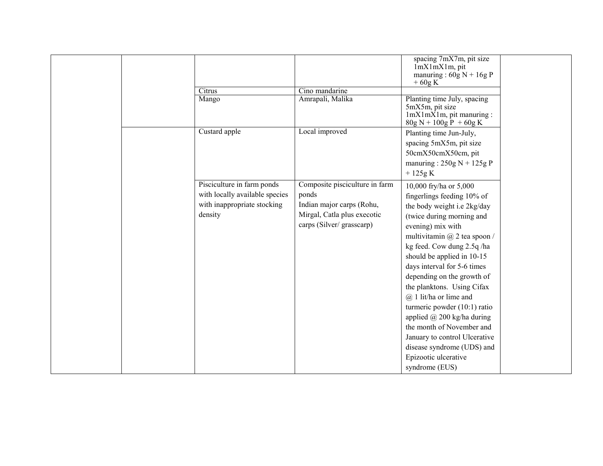|                                                                                                        |                                                                                                                                 | spacing 7mX7m, pit size<br>lmXlmXlm, pit<br>manuring : $60g N + 16g P$<br>$+60g K$                                                                                                                                                                                                                                                                                                                                                                                                                                                                                         |  |
|--------------------------------------------------------------------------------------------------------|---------------------------------------------------------------------------------------------------------------------------------|----------------------------------------------------------------------------------------------------------------------------------------------------------------------------------------------------------------------------------------------------------------------------------------------------------------------------------------------------------------------------------------------------------------------------------------------------------------------------------------------------------------------------------------------------------------------------|--|
| Citrus                                                                                                 | Cino mandarine                                                                                                                  |                                                                                                                                                                                                                                                                                                                                                                                                                                                                                                                                                                            |  |
| Mango                                                                                                  | Amrapali, Malika                                                                                                                | Planting time July, spacing<br>5mX5m, pit size<br>$lmXlmXlm$ , pit manuring :<br>$80g N + 100g P + 60g K$                                                                                                                                                                                                                                                                                                                                                                                                                                                                  |  |
| Custard apple                                                                                          | Local improved                                                                                                                  | Planting time Jun-July,<br>spacing 5mX5m, pit size<br>50cmX50cmX50cm, pit<br>manuring: $250g N + 125g P$<br>$+125g K$                                                                                                                                                                                                                                                                                                                                                                                                                                                      |  |
| Pisciculture in farm ponds<br>with locally available species<br>with inappropriate stocking<br>density | Composite pisciculture in farm<br>ponds<br>Indian major carps (Rohu,<br>Mirgal, Catla plus execotic<br>carps (Silver/grasscarp) | 10,000 fry/ha or 5,000<br>fingerlings feeding 10% of<br>the body weight i.e 2kg/day<br>(twice during morning and<br>evening) mix with<br>multivitamin $(a)$ 2 tea spoon /<br>kg feed. Cow dung 2.5q/ha<br>should be applied in 10-15<br>days interval for 5-6 times<br>depending on the growth of<br>the planktons. Using Cifax<br>$(a)$ 1 lit/ha or lime and<br>turmeric powder $(10:1)$ ratio<br>applied $\omega$ 200 kg/ha during<br>the month of November and<br>January to control Ulcerative<br>disease syndrome (UDS) and<br>Epizootic ulcerative<br>syndrome (EUS) |  |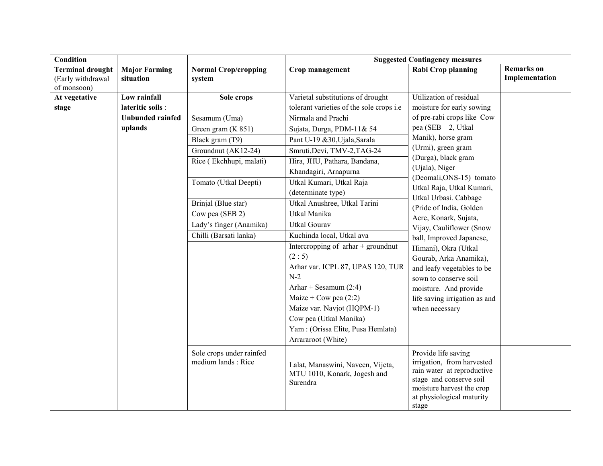| Condition                    |                                                |                                                                               | <b>Suggested Contingency measures</b>                                                                                                                                         |                                                  |                   |  |
|------------------------------|------------------------------------------------|-------------------------------------------------------------------------------|-------------------------------------------------------------------------------------------------------------------------------------------------------------------------------|--------------------------------------------------|-------------------|--|
| <b>Terminal drought</b>      | <b>Major Farming</b>                           | <b>Normal Crop/cropping</b>                                                   | Crop management                                                                                                                                                               | Rabi Crop planning                               | <b>Remarks</b> on |  |
| (Early withdrawal            | situation                                      | system                                                                        |                                                                                                                                                                               |                                                  | Implementation    |  |
| of monsoon)<br>At vegetative | Low rainfall                                   | Sole crops                                                                    | Varietal substitutions of drought                                                                                                                                             | Utilization of residual                          |                   |  |
| stage                        | lateritic soils :                              |                                                                               | tolerant varieties of the sole crops i.e                                                                                                                                      | moisture for early sowing                        |                   |  |
|                              | <b>Unbunded rainfed</b>                        | Sesamum (Uma)                                                                 | Nirmala and Prachi                                                                                                                                                            | of pre-rabi crops like Cow                       |                   |  |
|                              | uplands                                        | Green gram (K 851)                                                            | Sujata, Durga, PDM-11& 54                                                                                                                                                     | $pea (SEB - 2, Utkal)$                           |                   |  |
|                              |                                                | Black gram (T9)                                                               | Pant U-19 &30, Ujala, Sarala                                                                                                                                                  | Manik), horse gram                               |                   |  |
|                              |                                                | Groundnut (AK12-24)                                                           | Smruti, Devi, TMV-2, TAG-24                                                                                                                                                   | (Urmi), green gram                               |                   |  |
|                              |                                                | Rice (Ekchhupi, malati)                                                       | Hira, JHU, Pathara, Bandana,                                                                                                                                                  | (Durga), black gram                              |                   |  |
|                              |                                                |                                                                               | Khandagiri, Arnapurna                                                                                                                                                         | (Ujala), Niger                                   |                   |  |
|                              |                                                | Tomato (Utkal Deepti)                                                         | Utkal Kumari, Utkal Raja                                                                                                                                                      | (Deomali, ONS-15) tomato                         |                   |  |
|                              |                                                |                                                                               | (determinate type)                                                                                                                                                            | Utkal Raja, Utkal Kumari,                        |                   |  |
|                              |                                                | Brinjal (Blue star)                                                           | Utkal Anushree, Utkal Tarini                                                                                                                                                  | Utkal Urbasi. Cabbage                            |                   |  |
|                              |                                                | Cow pea (SEB 2)                                                               | Utkal Manika                                                                                                                                                                  | (Pride of India, Golden<br>Acre, Konark, Sujata, |                   |  |
|                              |                                                | Lady's finger (Anamika)                                                       | <b>Utkal Gourav</b>                                                                                                                                                           | Vijay, Cauliflower (Snow                         |                   |  |
|                              |                                                | Chilli (Barsati lanka)                                                        | Kuchinda local, Utkal ava                                                                                                                                                     | ball, Improved Japanese,                         |                   |  |
|                              |                                                |                                                                               | Intercropping of $arhar +$ groundnut                                                                                                                                          | Himani), Okra (Utkal                             |                   |  |
|                              |                                                |                                                                               | (2:5)                                                                                                                                                                         | Gourab, Arka Anamika),                           |                   |  |
|                              |                                                |                                                                               | Arhar var. ICPL 87, UPAS 120, TUR                                                                                                                                             | and leafy vegetables to be                       |                   |  |
|                              |                                                |                                                                               | $N-2$                                                                                                                                                                         | sown to conserve soil                            |                   |  |
|                              |                                                |                                                                               | Arhar + Sesamum $(2:4)$                                                                                                                                                       | moisture. And provide                            |                   |  |
|                              |                                                |                                                                               | Maize + Cow pea $(2:2)$                                                                                                                                                       | life saving irrigation as and                    |                   |  |
|                              |                                                |                                                                               | Maize var. Navjot (HQPM-1)                                                                                                                                                    | when necessary                                   |                   |  |
|                              |                                                |                                                                               | Cow pea (Utkal Manika)                                                                                                                                                        |                                                  |                   |  |
|                              |                                                |                                                                               | Yam: (Orissa Elite, Pusa Hemlata)                                                                                                                                             |                                                  |                   |  |
|                              |                                                |                                                                               | Arrararoot (White)                                                                                                                                                            |                                                  |                   |  |
|                              | Sole crops under rainfed<br>medium lands: Rice | Lalat, Manaswini, Naveen, Vijeta,<br>MTU 1010, Konark, Jogesh and<br>Surendra | Provide life saving<br>irrigation, from harvested<br>rain water at reproductive<br>stage and conserve soil<br>moisture harvest the crop<br>at physiological maturity<br>stage |                                                  |                   |  |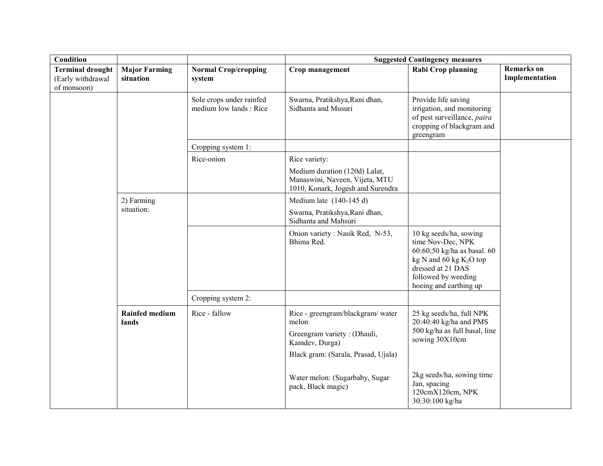| Condition                                                   |                                   |                                                     | <b>Suggested Contingency measures</b>                                                                                             |                                                                                                                                                                                   |                                     |  |
|-------------------------------------------------------------|-----------------------------------|-----------------------------------------------------|-----------------------------------------------------------------------------------------------------------------------------------|-----------------------------------------------------------------------------------------------------------------------------------------------------------------------------------|-------------------------------------|--|
| <b>Terminal drought</b><br>(Early withdrawal<br>of monsoon) | <b>Major Farming</b><br>situation | <b>Normal Crop/cropping</b><br>system               | Crop management                                                                                                                   | Rabi Crop planning                                                                                                                                                                | <b>Remarks</b> on<br>Implementation |  |
|                                                             |                                   | Sole crops under rainfed<br>medium low lands : Rice | Swarna, Pratikshya, Rani dhan,<br>Sidhanta and Musuri                                                                             | Provide life saving<br>irrigation, and monitoring<br>of pest surveillance, paira<br>cropping of blackgram and<br>greengram                                                        |                                     |  |
|                                                             |                                   | Cropping system 1:                                  |                                                                                                                                   |                                                                                                                                                                                   |                                     |  |
|                                                             |                                   | Rice-onion                                          | Rice variety:<br>Medium duration (120d) Lalat,<br>Manaswini, Naveen, Vijeta, MTU<br>1010, Konark, Jogesh and Surendra             |                                                                                                                                                                                   |                                     |  |
|                                                             | 2) Farming                        |                                                     | Medium late $(140-145 d)$                                                                                                         |                                                                                                                                                                                   |                                     |  |
|                                                             | situation:                        |                                                     | Swarna, Pratikshya, Rani dhan,<br>Sidhanta and Mahsuri                                                                            |                                                                                                                                                                                   |                                     |  |
|                                                             |                                   |                                                     | Onion variety: Nasik Red, N-53,<br>Bhima Red.                                                                                     | 10 kg seeds/ha, sowing<br>time Nov-Dec, NPK<br>$60:60;50$ kg/ha as basal. $60$<br>kg N and 60 kg $K_2O$ top<br>dressed at 21 DAS<br>followed by weeding<br>hoeing and earthing up |                                     |  |
|                                                             |                                   | Cropping system 2:                                  |                                                                                                                                   |                                                                                                                                                                                   |                                     |  |
|                                                             | <b>Rainfed medium</b><br>lands    | Rice - fallow                                       | Rice - greengram/blackgram/water<br>melon<br>Greengram variety: (Dhauli,<br>Kamdev, Durga)<br>Black gram: (Sarala, Prasad, Ujala) | 25 kg seeds/ha, full NPK<br>20:40:40 kg/ha and PMS<br>500 kg/ha as full basal, line<br>sowing 30X10cm                                                                             |                                     |  |
|                                                             |                                   |                                                     | Water melon: (Sugarbaby, Sugar<br>pack, Black magic)                                                                              | 2kg seeds/ha, sowing time<br>Jan, spacing<br>120cmX120cm, NPK<br>30:30:100 kg/ha                                                                                                  |                                     |  |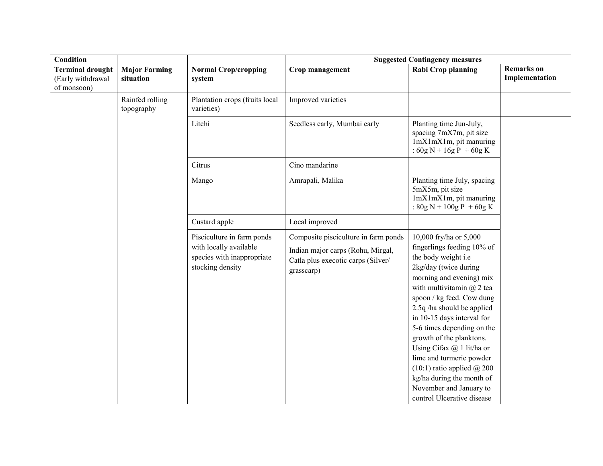| Condition                                                   |                                   |                                                                                                        | <b>Suggested Contingency measures</b>                                                                                         |                                                                                                                                                                                                                                                                                                                                                                                                                                                                                                             |                              |  |
|-------------------------------------------------------------|-----------------------------------|--------------------------------------------------------------------------------------------------------|-------------------------------------------------------------------------------------------------------------------------------|-------------------------------------------------------------------------------------------------------------------------------------------------------------------------------------------------------------------------------------------------------------------------------------------------------------------------------------------------------------------------------------------------------------------------------------------------------------------------------------------------------------|------------------------------|--|
| <b>Terminal drought</b><br>(Early withdrawal<br>of monsoon) | <b>Major Farming</b><br>situation | <b>Normal Crop/cropping</b><br>system                                                                  | Crop management                                                                                                               | <b>Rabi Crop planning</b>                                                                                                                                                                                                                                                                                                                                                                                                                                                                                   | Remarks on<br>Implementation |  |
|                                                             | Rainfed rolling<br>topography     | Plantation crops (fruits local<br>varieties)                                                           | Improved varieties                                                                                                            |                                                                                                                                                                                                                                                                                                                                                                                                                                                                                                             |                              |  |
|                                                             |                                   | Litchi                                                                                                 | Seedless early, Mumbai early                                                                                                  | Planting time Jun-July,<br>spacing 7mX7m, pit size<br>1mX1mX1m, pit manuring<br>: $60g N + 16g P + 60g K$                                                                                                                                                                                                                                                                                                                                                                                                   |                              |  |
|                                                             |                                   | Citrus                                                                                                 | Cino mandarine                                                                                                                |                                                                                                                                                                                                                                                                                                                                                                                                                                                                                                             |                              |  |
|                                                             |                                   | Mango                                                                                                  | Amrapali, Malika                                                                                                              | Planting time July, spacing<br>5mX5m, pit size<br>1mX1mX1m, pit manuring<br>: $80g N + 100g P + 60g K$                                                                                                                                                                                                                                                                                                                                                                                                      |                              |  |
|                                                             |                                   | Custard apple                                                                                          | Local improved                                                                                                                |                                                                                                                                                                                                                                                                                                                                                                                                                                                                                                             |                              |  |
|                                                             |                                   | Pisciculture in farm ponds<br>with locally available<br>species with inappropriate<br>stocking density | Composite pisciculture in farm ponds<br>Indian major carps (Rohu, Mirgal,<br>Catla plus execotic carps (Silver/<br>grasscarp) | 10,000 fry/ha or 5,000<br>fingerlings feeding 10% of<br>the body weight i.e<br>2kg/day (twice during<br>morning and evening) mix<br>with multivitamin $(a)$ 2 tea<br>spoon / kg feed. Cow dung<br>2.5q/ha should be applied<br>in 10-15 days interval for<br>5-6 times depending on the<br>growth of the planktons.<br>Using Cifax $@$ 1 lit/ha or<br>lime and turmeric powder<br>$(10:1)$ ratio applied $\omega$ 200<br>kg/ha during the month of<br>November and January to<br>control Ulcerative disease |                              |  |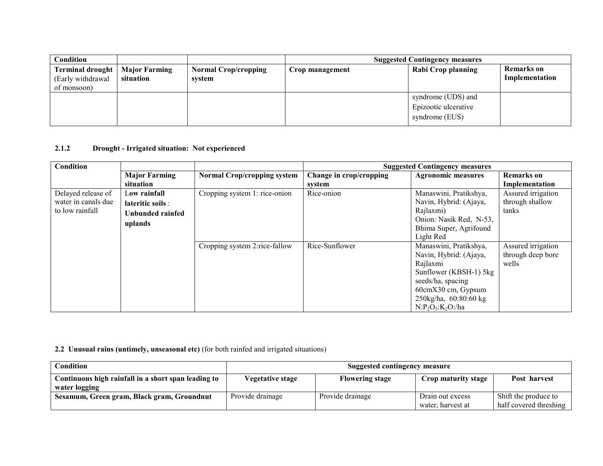| <b>Condition</b>                                            |                                   |                                       | <b>Suggested Contingency measures</b> |                                                              |                                     |
|-------------------------------------------------------------|-----------------------------------|---------------------------------------|---------------------------------------|--------------------------------------------------------------|-------------------------------------|
| <b>Terminal drought</b><br>(Early withdrawal<br>of monsoon) | <b>Major Farming</b><br>situation | <b>Normal Crop/cropping</b><br>system | Crop management                       | Rabi Crop planning                                           | <b>Remarks</b> on<br>Implementation |
|                                                             |                                   |                                       |                                       | syndrome (UDS) and<br>Epizootic ulcerative<br>syndrome (EUS) |                                     |

## 2.1.2 Drought - Irrigated situation: Not experienced

| Condition                                                    |                                                                  |                                    |                                   | <b>Suggested Contingency measures</b>                                                                                                                                             |                                                  |
|--------------------------------------------------------------|------------------------------------------------------------------|------------------------------------|-----------------------------------|-----------------------------------------------------------------------------------------------------------------------------------------------------------------------------------|--------------------------------------------------|
|                                                              | <b>Major Farming</b><br>situation                                | <b>Normal Crop/cropping system</b> | Change in crop/cropping<br>system | <b>Agronomic measures</b>                                                                                                                                                         | <b>Remarks</b> on<br>Implementation              |
| Delayed release of<br>water in canals due<br>to low rainfall | Low rainfall<br>lateritic soils :<br>Unbunded rainfed<br>uplands | Cropping system 1: rice-onion      | Rice-onion                        | Manaswini, Pratikshya,<br>Navin, Hybrid: (Ajaya,<br>Rajlaxmi)<br>Onion: Nasik Red, N-53,<br>Bhima Super, Agrifound<br>Light Red                                                   | Assured irrigation<br>through shallow<br>tanks   |
|                                                              |                                                                  | Cropping system 2:rice-fallow      | Rice-Sunflower                    | Manaswini, Pratikshya,<br>Navin, Hybrid: (Ajaya,<br>Rajlaxmi<br>Sunflower (KBSH-1) 5kg<br>seeds/ha, spacing<br>60cmX30 cm, Gypsum<br>250kg/ha, 60:80:60 kg<br>$N: P2O5: K2O$ :/ha | Assured irrigation<br>through deep bore<br>wells |

## 2.2 Unusual rains (untimely, unseasonal etc) (for both rainfed and irrigated situations)

| Condition                                           | <b>Suggested contingency measure</b> |                        |                     |                        |
|-----------------------------------------------------|--------------------------------------|------------------------|---------------------|------------------------|
| Continuous high rainfall in a short span leading to | <b>Vegetative stage</b>              | <b>Flowering stage</b> | Crop maturity stage | Post harvest           |
| water logging                                       |                                      |                        |                     |                        |
| Sesamum, Green gram, Black gram, Groundnut          | Provide drainage                     | Provide drainage       | Drain out excess    | Shift the produce to   |
|                                                     |                                      |                        | water, harvest at   | half covered threshing |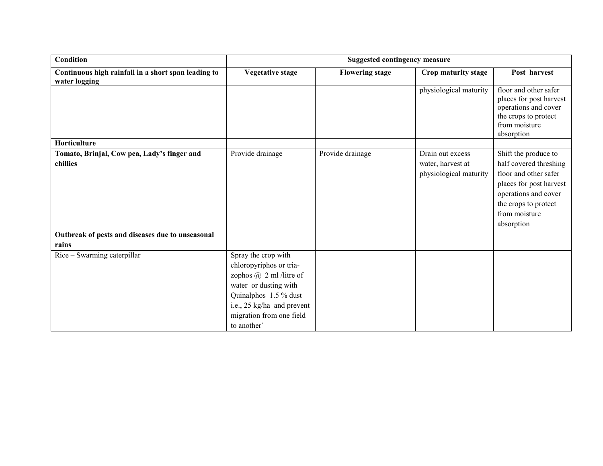| Condition                                                 |                                                                                                                                                                                                            | <b>Suggested contingency measure</b> |                                                                 |                                                                                                                                                                                   |
|-----------------------------------------------------------|------------------------------------------------------------------------------------------------------------------------------------------------------------------------------------------------------------|--------------------------------------|-----------------------------------------------------------------|-----------------------------------------------------------------------------------------------------------------------------------------------------------------------------------|
| Continuous high rainfall in a short span leading to       | <b>Vegetative stage</b>                                                                                                                                                                                    | <b>Flowering stage</b>               | Crop maturity stage                                             | Post harvest                                                                                                                                                                      |
| water logging                                             |                                                                                                                                                                                                            |                                      |                                                                 |                                                                                                                                                                                   |
|                                                           |                                                                                                                                                                                                            |                                      | physiological maturity                                          | floor and other safer<br>places for post harvest<br>operations and cover<br>the crops to protect<br>from moisture<br>absorption                                                   |
| Horticulture                                              |                                                                                                                                                                                                            |                                      |                                                                 |                                                                                                                                                                                   |
| Tomato, Brinjal, Cow pea, Lady's finger and<br>chillies   | Provide drainage                                                                                                                                                                                           | Provide drainage                     | Drain out excess<br>water, harvest at<br>physiological maturity | Shift the produce to<br>half covered threshing<br>floor and other safer<br>places for post harvest<br>operations and cover<br>the crops to protect<br>from moisture<br>absorption |
| Outbreak of pests and diseases due to unseasonal<br>rains |                                                                                                                                                                                                            |                                      |                                                                 |                                                                                                                                                                                   |
| Rice – Swarming caterpillar                               | Spray the crop with<br>chloropyriphos or tria-<br>zophos $\omega$ 2 ml /litre of<br>water or dusting with<br>Quinalphos 1.5 % dust<br>i.e., 25 kg/ha and prevent<br>migration from one field<br>to another |                                      |                                                                 |                                                                                                                                                                                   |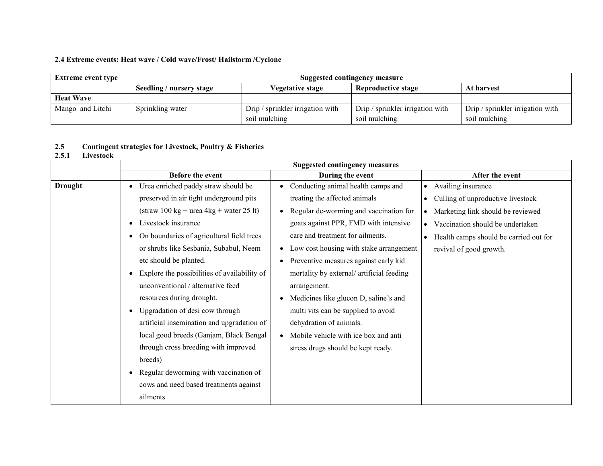## 2.4 Extreme events: Heat wave / Cold wave/Frost/ Hailstorm /Cyclone

| <b>Extreme event type</b> | Suggested contingency measure |                                  |                                  |                                  |  |  |
|---------------------------|-------------------------------|----------------------------------|----------------------------------|----------------------------------|--|--|
|                           | Seedling / nursery stage      | At harvest                       |                                  |                                  |  |  |
| <b>Heat Wave</b>          |                               |                                  |                                  |                                  |  |  |
| Mango and Litchi          | Sprinkling water              | Drip / sprinkler irrigation with | Drip / sprinkler irrigation with | Drip / sprinkler irrigation with |  |  |
|                           |                               | soil mulching                    | soil mulching                    | soil mulching                    |  |  |

### 2.52.5 Contingent strategies for Livestock, Poultry & Fisheries<br>2.5.1 Livestock

## Livestock

|                | <b>Suggested contingency measures</b>                          |                                                      |                                        |  |  |
|----------------|----------------------------------------------------------------|------------------------------------------------------|----------------------------------------|--|--|
|                | Before the event                                               | During the event                                     | After the event                        |  |  |
| <b>Drought</b> | Urea enriched paddy straw should be<br>$\bullet$               | Conducting animal health camps and                   | • Availing insurance                   |  |  |
|                | preserved in air tight underground pits                        | treating the affected animals                        | • Culling of unproductive livestock    |  |  |
|                | $\text{(straw 100 kg} + \text{urea 4kg} + \text{water 25 lt)}$ | Regular de-worming and vaccination for               | • Marketing link should be reviewed    |  |  |
|                | Livestock insurance<br>$\bullet$                               | goats against PPR, FMD with intensive                | • Vaccination should be undertaken     |  |  |
|                | On boundaries of agricultural field trees<br>$\bullet$         | care and treatment for ailments.                     | Health camps should be carried out for |  |  |
|                | or shrubs like Sesbania, Subabul, Neem                         | Low cost housing with stake arrangement<br>$\bullet$ | revival of good growth.                |  |  |
|                | etc should be planted.                                         | Preventive measures against early kid                |                                        |  |  |
|                | Explore the possibilities of availability of<br>$\bullet$      | mortality by external/artificial feeding             |                                        |  |  |
|                | unconventional / alternative feed                              | arrangement.                                         |                                        |  |  |
|                | resources during drought.                                      | Medicines like glucon D, saline's and                |                                        |  |  |
|                | Upgradation of desi cow through<br>$\bullet$                   | multi vits can be supplied to avoid                  |                                        |  |  |
|                | artificial insemination and upgradation of                     | dehydration of animals.                              |                                        |  |  |
|                | local good breeds (Ganjam, Black Bengal                        | Mobile vehicle with ice box and anti                 |                                        |  |  |
|                | through cross breeding with improved                           | stress drugs should be kept ready.                   |                                        |  |  |
|                | breeds)                                                        |                                                      |                                        |  |  |
|                | Regular deworming with vaccination of<br>$\bullet$             |                                                      |                                        |  |  |
|                | cows and need based treatments against                         |                                                      |                                        |  |  |
|                | ailments                                                       |                                                      |                                        |  |  |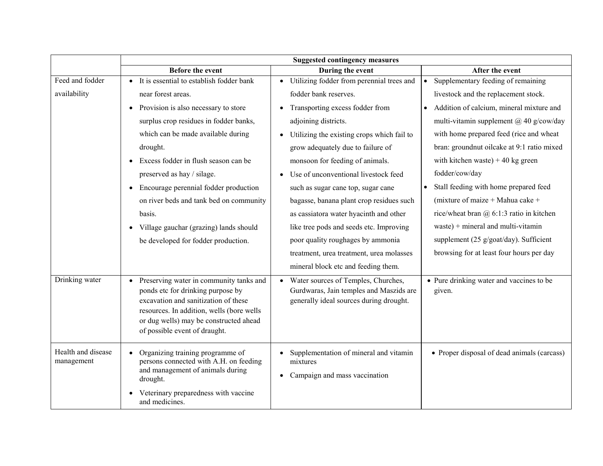|                    | <b>Suggested contingency measures</b>                                                     |                                                                                             |                                                    |  |  |
|--------------------|-------------------------------------------------------------------------------------------|---------------------------------------------------------------------------------------------|----------------------------------------------------|--|--|
|                    | <b>Before the event</b>                                                                   | During the event                                                                            | After the event                                    |  |  |
| Feed and fodder    | • It is essential to establish fodder bank                                                | Utilizing fodder from perennial trees and<br>$\bullet$                                      | Supplementary feeding of remaining                 |  |  |
| availability       | near forest areas.                                                                        | fodder bank reserves.                                                                       | livestock and the replacement stock.               |  |  |
|                    | Provision is also necessary to store<br>$\bullet$                                         | Transporting excess fodder from                                                             | Addition of calcium, mineral mixture and           |  |  |
|                    | surplus crop residues in fodder banks,                                                    | adjoining districts.                                                                        | multi-vitamin supplement @ 40 g/cow/day            |  |  |
|                    | which can be made available during                                                        | Utilizing the existing crops which fail to                                                  | with home prepared feed (rice and wheat            |  |  |
|                    | drought.                                                                                  | grow adequately due to failure of                                                           | bran: groundnut oilcake at 9:1 ratio mixed         |  |  |
|                    | Excess fodder in flush season can be                                                      | monsoon for feeding of animals.                                                             | with kitchen waste) $+40$ kg green                 |  |  |
|                    | preserved as hay / silage.                                                                | Use of unconventional livestock feed                                                        | fodder/cow/day                                     |  |  |
|                    | Encourage perennial fodder production<br>$\bullet$                                        | such as sugar cane top, sugar cane                                                          | Stall feeding with home prepared feed              |  |  |
|                    | on river beds and tank bed on community                                                   | bagasse, banana plant crop residues such                                                    | (mixture of maize + Mahua cake +                   |  |  |
|                    | basis.                                                                                    | as cassiatora water hyacinth and other                                                      | rice/wheat bran $@6:1:3$ ratio in kitchen          |  |  |
|                    | Village gauchar (grazing) lands should<br>$\bullet$                                       | like tree pods and seeds etc. Improving                                                     | waste) + mineral and multi-vitamin                 |  |  |
|                    | be developed for fodder production.                                                       | poor quality roughages by ammonia                                                           | supplement (25 g/goat/day). Sufficient             |  |  |
|                    |                                                                                           | treatment, urea treatment, urea molasses                                                    | browsing for at least four hours per day           |  |  |
|                    |                                                                                           | mineral block etc and feeding them.                                                         |                                                    |  |  |
| Drinking water     | Preserving water in community tanks and<br>$\bullet$<br>ponds etc for drinking purpose by | Water sources of Temples, Churches,<br>$\bullet$<br>Gurdwaras, Jain temples and Maszids are | • Pure drinking water and vaccines to be<br>given. |  |  |
|                    | excavation and sanitization of these                                                      | generally ideal sources during drought.                                                     |                                                    |  |  |
|                    | resources. In addition, wells (bore wells                                                 |                                                                                             |                                                    |  |  |
|                    | or dug wells) may be constructed ahead<br>of possible event of draught.                   |                                                                                             |                                                    |  |  |
|                    |                                                                                           |                                                                                             |                                                    |  |  |
| Health and disease | Organizing training programme of                                                          | Supplementation of mineral and vitamin                                                      | • Proper disposal of dead animals (carcass)        |  |  |
| management         | persons connected with A.H. on feeding<br>and management of animals during                | mixtures                                                                                    |                                                    |  |  |
|                    | drought.                                                                                  | Campaign and mass vaccination                                                               |                                                    |  |  |
|                    | Veterinary preparedness with vaccine<br>and medicines.                                    |                                                                                             |                                                    |  |  |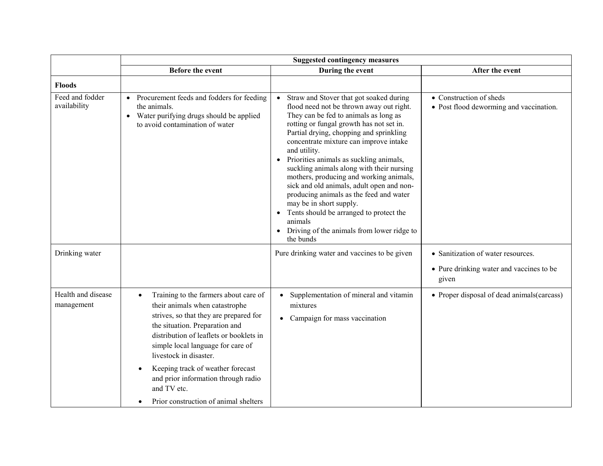|                                  | <b>Suggested contingency measures</b>                                                                                                                                                                                                                                                                                                                                                                          |                                                                                                                                                                                                                                                                                                                                                                                                                                                                                                                                                                                                                                                                   |                                                                                         |  |  |
|----------------------------------|----------------------------------------------------------------------------------------------------------------------------------------------------------------------------------------------------------------------------------------------------------------------------------------------------------------------------------------------------------------------------------------------------------------|-------------------------------------------------------------------------------------------------------------------------------------------------------------------------------------------------------------------------------------------------------------------------------------------------------------------------------------------------------------------------------------------------------------------------------------------------------------------------------------------------------------------------------------------------------------------------------------------------------------------------------------------------------------------|-----------------------------------------------------------------------------------------|--|--|
|                                  | <b>Before the event</b>                                                                                                                                                                                                                                                                                                                                                                                        | During the event                                                                                                                                                                                                                                                                                                                                                                                                                                                                                                                                                                                                                                                  | After the event                                                                         |  |  |
| <b>Floods</b>                    |                                                                                                                                                                                                                                                                                                                                                                                                                |                                                                                                                                                                                                                                                                                                                                                                                                                                                                                                                                                                                                                                                                   |                                                                                         |  |  |
| Feed and fodder<br>availability  | Procurement feeds and fodders for feeding<br>$\bullet$<br>the animals.<br>Water purifying drugs should be applied<br>$\bullet$<br>to avoid contamination of water                                                                                                                                                                                                                                              | Straw and Stover that got soaked during<br>flood need not be thrown away out right.<br>They can be fed to animals as long as<br>rotting or fungal growth has not set in.<br>Partial drying, chopping and sprinkling<br>concentrate mixture can improve intake<br>and utility.<br>Priorities animals as suckling animals,<br>$\bullet$<br>suckling animals along with their nursing<br>mothers, producing and working animals,<br>sick and old animals, adult open and non-<br>producing animals as the feed and water<br>may be in short supply.<br>Tents should be arranged to protect the<br>animals<br>Driving of the animals from lower ridge to<br>the bunds | • Construction of sheds<br>• Post flood deworming and vaccination.                      |  |  |
| Drinking water                   |                                                                                                                                                                                                                                                                                                                                                                                                                | Pure drinking water and vaccines to be given                                                                                                                                                                                                                                                                                                                                                                                                                                                                                                                                                                                                                      | • Sanitization of water resources.<br>• Pure drinking water and vaccines to be<br>given |  |  |
| Health and disease<br>management | Training to the farmers about care of<br>their animals when catastrophe<br>strives, so that they are prepared for<br>the situation. Preparation and<br>distribution of leaflets or booklets in<br>simple local language for care of<br>livestock in disaster.<br>Keeping track of weather forecast<br>$\bullet$<br>and prior information through radio<br>and TV etc.<br>Prior construction of animal shelters | Supplementation of mineral and vitamin<br>$\bullet$<br>mixtures<br>Campaign for mass vaccination<br>$\bullet$                                                                                                                                                                                                                                                                                                                                                                                                                                                                                                                                                     | • Proper disposal of dead animals (carcass)                                             |  |  |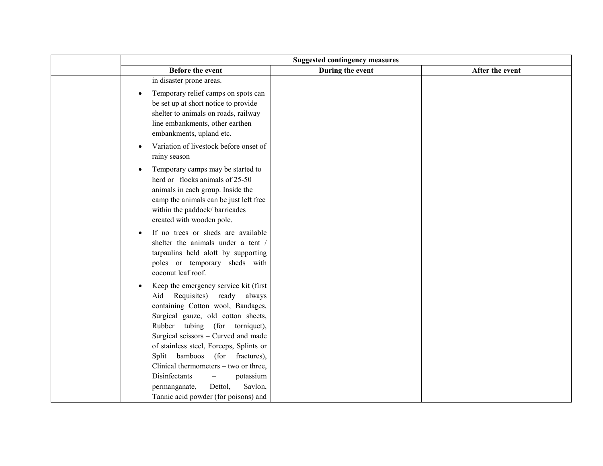| <b>Suggested contingency measures</b>                                                                                                                                                                                                                                                                                                                                                                                                                                                                |                  |                 |  |
|------------------------------------------------------------------------------------------------------------------------------------------------------------------------------------------------------------------------------------------------------------------------------------------------------------------------------------------------------------------------------------------------------------------------------------------------------------------------------------------------------|------------------|-----------------|--|
| <b>Before the event</b>                                                                                                                                                                                                                                                                                                                                                                                                                                                                              | During the event | After the event |  |
| in disaster prone areas.                                                                                                                                                                                                                                                                                                                                                                                                                                                                             |                  |                 |  |
| Temporary relief camps on spots can<br>be set up at short notice to provide<br>shelter to animals on roads, railway<br>line embankments, other earthen<br>embankments, upland etc.                                                                                                                                                                                                                                                                                                                   |                  |                 |  |
| Variation of livestock before onset of<br>$\bullet$<br>rainy season                                                                                                                                                                                                                                                                                                                                                                                                                                  |                  |                 |  |
| Temporary camps may be started to<br>$\bullet$<br>herd or flocks animals of 25-50<br>animals in each group. Inside the<br>camp the animals can be just left free<br>within the paddock/barricades<br>created with wooden pole.                                                                                                                                                                                                                                                                       |                  |                 |  |
| If no trees or sheds are available<br>$\bullet$<br>shelter the animals under a tent /<br>tarpaulins held aloft by supporting<br>poles or temporary sheds with<br>coconut leaf roof.                                                                                                                                                                                                                                                                                                                  |                  |                 |  |
| Keep the emergency service kit (first<br>$\bullet$<br>Requisites) ready<br>Aid<br>always<br>containing Cotton wool, Bandages,<br>Surgical gauze, old cotton sheets,<br>Rubber tubing (for torniquet),<br>Surgical scissors - Curved and made<br>of stainless steel, Forceps, Splints or<br>Split bamboos (for fractures),<br>Clinical thermometers - two or three,<br>Disinfectants<br>potassium<br>$\qquad \qquad -$<br>Savlon,<br>Dettol,<br>permanganate,<br>Tannic acid powder (for poisons) and |                  |                 |  |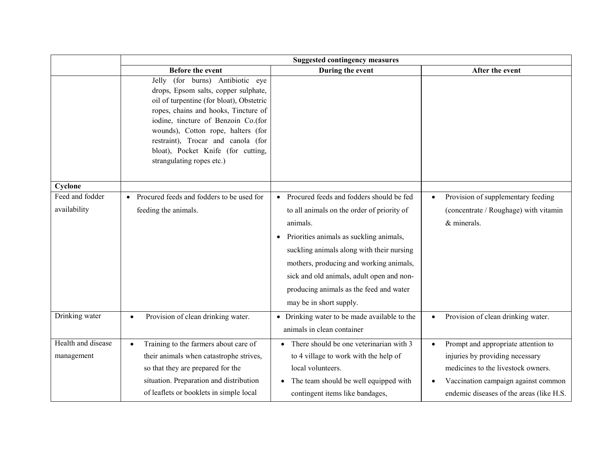|                    | <b>Suggested contingency measures</b>                                                                                                                                                                                                                                                                                                              |                                                    |                                                 |  |
|--------------------|----------------------------------------------------------------------------------------------------------------------------------------------------------------------------------------------------------------------------------------------------------------------------------------------------------------------------------------------------|----------------------------------------------------|-------------------------------------------------|--|
|                    | Before the event                                                                                                                                                                                                                                                                                                                                   | During the event                                   | After the event                                 |  |
|                    | Jelly (for burns) Antibiotic eye<br>drops, Epsom salts, copper sulphate,<br>oil of turpentine (for bloat), Obstetric<br>ropes, chains and hooks, Tincture of<br>iodine, tincture of Benzoin Co.(for<br>wounds), Cotton rope, halters (for<br>restraint), Trocar and canola (for<br>bloat), Pocket Knife (for cutting,<br>strangulating ropes etc.) |                                                    |                                                 |  |
| Cyclone            |                                                                                                                                                                                                                                                                                                                                                    |                                                    |                                                 |  |
| Feed and fodder    | Procured feeds and fodders to be used for<br>$\bullet$                                                                                                                                                                                                                                                                                             | • Procured feeds and fodders should be fed         | Provision of supplementary feeding<br>$\bullet$ |  |
| availability       | feeding the animals.                                                                                                                                                                                                                                                                                                                               | to all animals on the order of priority of         | (concentrate / Roughage) with vitamin           |  |
|                    |                                                                                                                                                                                                                                                                                                                                                    | animals.                                           | & minerals.                                     |  |
|                    |                                                                                                                                                                                                                                                                                                                                                    | Priorities animals as suckling animals,            |                                                 |  |
|                    |                                                                                                                                                                                                                                                                                                                                                    | suckling animals along with their nursing          |                                                 |  |
|                    |                                                                                                                                                                                                                                                                                                                                                    | mothers, producing and working animals,            |                                                 |  |
|                    |                                                                                                                                                                                                                                                                                                                                                    | sick and old animals, adult open and non-          |                                                 |  |
|                    |                                                                                                                                                                                                                                                                                                                                                    | producing animals as the feed and water            |                                                 |  |
|                    |                                                                                                                                                                                                                                                                                                                                                    | may be in short supply.                            |                                                 |  |
| Drinking water     | Provision of clean drinking water.<br>$\bullet$                                                                                                                                                                                                                                                                                                    | • Drinking water to be made available to the       | Provision of clean drinking water.<br>$\bullet$ |  |
|                    |                                                                                                                                                                                                                                                                                                                                                    | animals in clean container                         |                                                 |  |
| Health and disease | Training to the farmers about care of                                                                                                                                                                                                                                                                                                              | • There should be one veterinarian with 3          | Prompt and appropriate attention to             |  |
| management         | their animals when catastrophe strives,                                                                                                                                                                                                                                                                                                            | to 4 village to work with the help of              | injuries by providing necessary                 |  |
|                    | so that they are prepared for the                                                                                                                                                                                                                                                                                                                  | local volunteers.                                  | medicines to the livestock owners.              |  |
|                    | situation. Preparation and distribution                                                                                                                                                                                                                                                                                                            | The team should be well equipped with<br>$\bullet$ | Vaccination campaign against common             |  |
|                    | of leaflets or booklets in simple local                                                                                                                                                                                                                                                                                                            | contingent items like bandages,                    | endemic diseases of the areas (like H.S.        |  |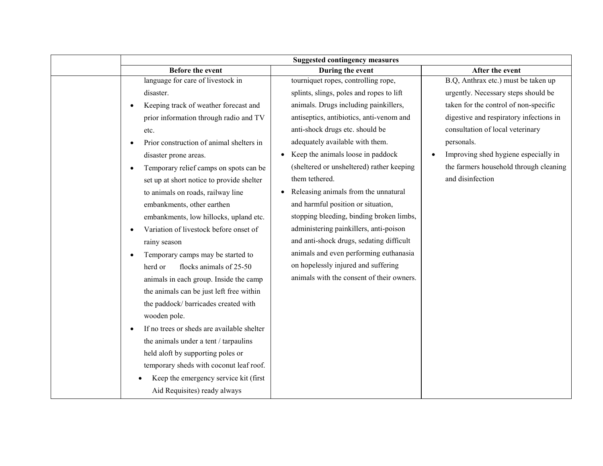|              | <b>Suggested contingency measures</b>      |                                           |                                                   |  |  |
|--------------|--------------------------------------------|-------------------------------------------|---------------------------------------------------|--|--|
|              | <b>Before the event</b>                    | During the event                          | After the event                                   |  |  |
|              | language for care of livestock in          | tourniquet ropes, controlling rope,       | B.Q, Anthrax etc.) must be taken up               |  |  |
| disaster.    |                                            | splints, slings, poles and ropes to lift  | urgently. Necessary steps should be               |  |  |
|              | Keeping track of weather forecast and      | animals. Drugs including painkillers,     | taken for the control of non-specific             |  |  |
|              | prior information through radio and TV     | antiseptics, antibiotics, anti-venom and  | digestive and respiratory infections in           |  |  |
| etc.         |                                            | anti-shock drugs etc. should be           | consultation of local veterinary                  |  |  |
|              | Prior construction of animal shelters in   | adequately available with them.           | personals.                                        |  |  |
|              | disaster prone areas.                      | Keep the animals loose in paddock         | Improving shed hygiene especially in<br>$\bullet$ |  |  |
| $\bullet$    | Temporary relief camps on spots can be     | (sheltered or unsheltered) rather keeping | the farmers household through cleaning            |  |  |
|              | set up at short notice to provide shelter  | them tethered.                            | and disinfection                                  |  |  |
|              | to animals on roads, railway line          | Releasing animals from the unnatural      |                                                   |  |  |
|              | embankments, other earthen                 | and harmful position or situation,        |                                                   |  |  |
|              | embankments, low hillocks, upland etc.     | stopping bleeding, binding broken limbs,  |                                                   |  |  |
|              | Variation of livestock before onset of     | administering painkillers, anti-poison    |                                                   |  |  |
| rainy season |                                            | and anti-shock drugs, sedating difficult  |                                                   |  |  |
| $\bullet$    | Temporary camps may be started to          | animals and even performing euthanasia    |                                                   |  |  |
| herd or      | flocks animals of 25-50                    | on hopelessly injured and suffering       |                                                   |  |  |
|              | animals in each group. Inside the camp     | animals with the consent of their owners. |                                                   |  |  |
|              | the animals can be just left free within   |                                           |                                                   |  |  |
|              | the paddock/ barricades created with       |                                           |                                                   |  |  |
| wooden pole. |                                            |                                           |                                                   |  |  |
| $\bullet$    | If no trees or sheds are available shelter |                                           |                                                   |  |  |
|              | the animals under a tent / tarpaulins      |                                           |                                                   |  |  |
|              | held aloft by supporting poles or          |                                           |                                                   |  |  |
|              | temporary sheds with coconut leaf roof.    |                                           |                                                   |  |  |
|              | Keep the emergency service kit (first      |                                           |                                                   |  |  |
|              | Aid Requisites) ready always               |                                           |                                                   |  |  |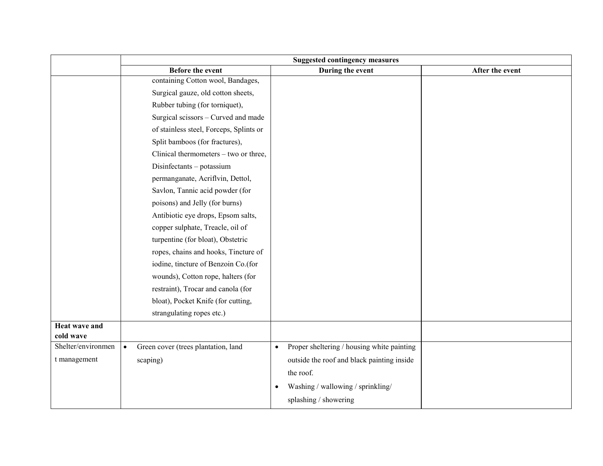|                      | <b>Suggested contingency measures</b>            |                                                         |                 |  |
|----------------------|--------------------------------------------------|---------------------------------------------------------|-----------------|--|
|                      | <b>Before the event</b>                          | During the event                                        | After the event |  |
|                      | containing Cotton wool, Bandages,                |                                                         |                 |  |
|                      | Surgical gauze, old cotton sheets,               |                                                         |                 |  |
|                      | Rubber tubing (for torniquet),                   |                                                         |                 |  |
|                      | Surgical scissors - Curved and made              |                                                         |                 |  |
|                      | of stainless steel, Forceps, Splints or          |                                                         |                 |  |
|                      | Split bamboos (for fractures),                   |                                                         |                 |  |
|                      | Clinical thermometers - two or three,            |                                                         |                 |  |
|                      | Disinfectants - potassium                        |                                                         |                 |  |
|                      | permanganate, Acriflvin, Dettol,                 |                                                         |                 |  |
|                      | Savlon, Tannic acid powder (for                  |                                                         |                 |  |
|                      | poisons) and Jelly (for burns)                   |                                                         |                 |  |
|                      | Antibiotic eye drops, Epsom salts,               |                                                         |                 |  |
|                      | copper sulphate, Treacle, oil of                 |                                                         |                 |  |
|                      | turpentine (for bloat), Obstetric                |                                                         |                 |  |
|                      | ropes, chains and hooks, Tincture of             |                                                         |                 |  |
|                      | iodine, tincture of Benzoin Co.(for              |                                                         |                 |  |
|                      | wounds), Cotton rope, halters (for               |                                                         |                 |  |
|                      | restraint), Trocar and canola (for               |                                                         |                 |  |
|                      | bloat), Pocket Knife (for cutting,               |                                                         |                 |  |
|                      | strangulating ropes etc.)                        |                                                         |                 |  |
| <b>Heat wave and</b> |                                                  |                                                         |                 |  |
| cold wave            |                                                  |                                                         |                 |  |
| Shelter/environmen   | Green cover (trees plantation, land<br>$\bullet$ | Proper sheltering / housing white painting<br>$\bullet$ |                 |  |
| t management         | scaping)                                         | outside the roof and black painting inside              |                 |  |
|                      |                                                  | the roof.                                               |                 |  |
|                      |                                                  | Washing / wallowing / sprinkling/<br>$\bullet$          |                 |  |
|                      |                                                  | splashing / showering                                   |                 |  |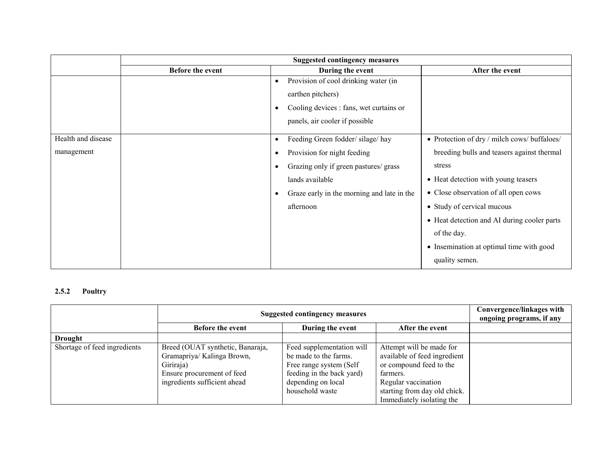|                    | <b>Suggested contingency measures</b> |           |                                            |                                              |
|--------------------|---------------------------------------|-----------|--------------------------------------------|----------------------------------------------|
|                    | Before the event                      |           | During the event                           | After the event                              |
|                    |                                       | $\bullet$ | Provision of cool drinking water (in       |                                              |
|                    |                                       |           | earthen pitchers)                          |                                              |
|                    |                                       | $\bullet$ | Cooling devices : fans, wet curtains or    |                                              |
|                    |                                       |           | panels, air cooler if possible             |                                              |
| Health and disease |                                       | $\bullet$ | Feeding Green fodder/silage/hay            | • Protection of dry / milch cows/ buffaloes/ |
| management         |                                       | $\bullet$ | Provision for night feeding                | breeding bulls and teasers against thermal   |
|                    |                                       | $\bullet$ | Grazing only if green pastures/ grass      | stress                                       |
|                    |                                       |           | lands available                            | • Heat detection with young teasers          |
|                    |                                       | $\bullet$ | Graze early in the morning and late in the | • Close observation of all open cows         |
|                    |                                       |           | afternoon                                  | • Study of cervical mucous                   |
|                    |                                       |           |                                            | • Heat detection and AI during cooler parts  |
|                    |                                       |           |                                            | of the day.                                  |
|                    |                                       |           |                                            | • Insemination at optimal time with good     |
|                    |                                       |           |                                            | quality semen.                               |

## 2.5.2 Poultry

|                              | <b>Suggested contingency measures</b>                                                                                                     | Convergence/linkages with<br>ongoing programs, if any                                                                                                |                                                                                                                                                                                     |  |
|------------------------------|-------------------------------------------------------------------------------------------------------------------------------------------|------------------------------------------------------------------------------------------------------------------------------------------------------|-------------------------------------------------------------------------------------------------------------------------------------------------------------------------------------|--|
|                              | <b>Before the event</b>                                                                                                                   | During the event                                                                                                                                     | After the event                                                                                                                                                                     |  |
| <b>Drought</b>               |                                                                                                                                           |                                                                                                                                                      |                                                                                                                                                                                     |  |
| Shortage of feed ingredients | Breed (OUAT synthetic, Banaraja,<br>Gramapriya/ Kalinga Brown,<br>Giriraja)<br>Ensure procurement of feed<br>ingredients sufficient ahead | Feed supplementation will<br>be made to the farms.<br>Free range system (Self)<br>feeding in the back yard)<br>depending on local<br>household waste | Attempt will be made for<br>available of feed ingredient<br>or compound feed to the<br>farmers.<br>Regular vaccination<br>starting from day old chick.<br>Immediately isolating the |  |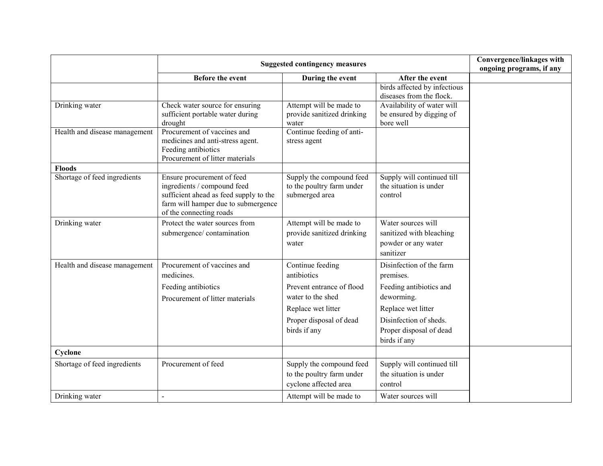|                               | <b>Suggested contingency measures</b>                                                                                                                                 |                                                                                |                                                                                    | Convergence/linkages with<br>ongoing programs, if any |
|-------------------------------|-----------------------------------------------------------------------------------------------------------------------------------------------------------------------|--------------------------------------------------------------------------------|------------------------------------------------------------------------------------|-------------------------------------------------------|
|                               | <b>Before the event</b>                                                                                                                                               | During the event                                                               | After the event                                                                    |                                                       |
|                               |                                                                                                                                                                       |                                                                                | birds affected by infectious<br>diseases from the flock.                           |                                                       |
| Drinking water                | Check water source for ensuring<br>sufficient portable water during<br>drought                                                                                        | Attempt will be made to<br>provide sanitized drinking<br>water                 | Availability of water will<br>be ensured by digging of<br>bore well                |                                                       |
| Health and disease management | Procurement of vaccines and<br>medicines and anti-stress agent.<br>Feeding antibiotics<br>Procurement of litter materials                                             | Continue feeding of anti-<br>stress agent                                      |                                                                                    |                                                       |
| <b>Floods</b>                 |                                                                                                                                                                       |                                                                                |                                                                                    |                                                       |
| Shortage of feed ingredients  | Ensure procurement of feed<br>ingredients / compound feed<br>sufficient ahead as feed supply to the<br>farm will hamper due to submergence<br>of the connecting roads | Supply the compound feed<br>to the poultry farm under<br>submerged area        | Supply will continued till<br>the situation is under<br>control                    |                                                       |
| Drinking water                | Protect the water sources from<br>submergence/contamination                                                                                                           | Attempt will be made to<br>provide sanitized drinking<br>water                 | Water sources will<br>sanitized with bleaching<br>powder or any water<br>sanitizer |                                                       |
| Health and disease management | Procurement of vaccines and<br>medicines.                                                                                                                             | Continue feeding<br>antibiotics                                                | Disinfection of the farm<br>premises.                                              |                                                       |
|                               | Feeding antibiotics<br>Procurement of litter materials                                                                                                                | Prevent entrance of flood<br>water to the shed                                 | Feeding antibiotics and<br>deworming.                                              |                                                       |
|                               |                                                                                                                                                                       | Replace wet litter                                                             | Replace wet litter                                                                 |                                                       |
|                               |                                                                                                                                                                       | Proper disposal of dead<br>birds if any                                        | Disinfection of sheds.<br>Proper disposal of dead<br>birds if any                  |                                                       |
| Cyclone                       |                                                                                                                                                                       |                                                                                |                                                                                    |                                                       |
| Shortage of feed ingredients  | Procurement of feed                                                                                                                                                   | Supply the compound feed<br>to the poultry farm under<br>cyclone affected area | Supply will continued till<br>the situation is under<br>control                    |                                                       |
| Drinking water                |                                                                                                                                                                       | Attempt will be made to                                                        | Water sources will                                                                 |                                                       |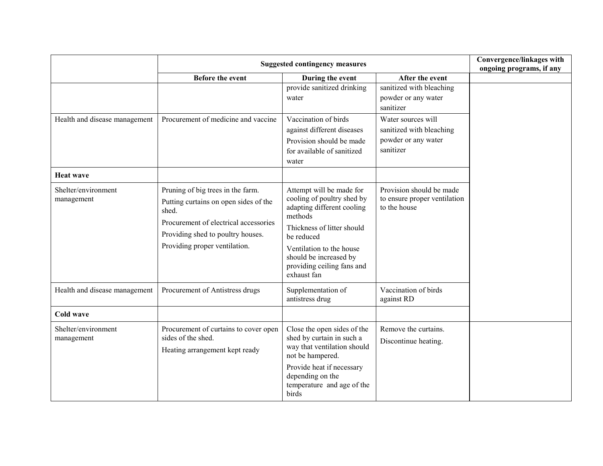|                                   | <b>Suggested contingency measures</b>                                                                                                                                                              |                                                                                                                                                                                                                                                |                                                                                    | Convergence/linkages with<br>ongoing programs, if any |
|-----------------------------------|----------------------------------------------------------------------------------------------------------------------------------------------------------------------------------------------------|------------------------------------------------------------------------------------------------------------------------------------------------------------------------------------------------------------------------------------------------|------------------------------------------------------------------------------------|-------------------------------------------------------|
|                                   | <b>Before the event</b>                                                                                                                                                                            | During the event                                                                                                                                                                                                                               | After the event                                                                    |                                                       |
|                                   |                                                                                                                                                                                                    | provide sanitized drinking<br>water                                                                                                                                                                                                            | sanitized with bleaching<br>powder or any water<br>sanitizer                       |                                                       |
| Health and disease management     | Procurement of medicine and vaccine                                                                                                                                                                | Vaccination of birds<br>against different diseases<br>Provision should be made<br>for available of sanitized<br>water                                                                                                                          | Water sources will<br>sanitized with bleaching<br>powder or any water<br>sanitizer |                                                       |
| <b>Heat wave</b>                  |                                                                                                                                                                                                    |                                                                                                                                                                                                                                                |                                                                                    |                                                       |
| Shelter/environment<br>management | Pruning of big trees in the farm.<br>Putting curtains on open sides of the<br>shed.<br>Procurement of electrical accessories<br>Providing shed to poultry houses.<br>Providing proper ventilation. | Attempt will be made for<br>cooling of poultry shed by<br>adapting different cooling<br>methods<br>Thickness of litter should<br>be reduced<br>Ventilation to the house<br>should be increased by<br>providing ceiling fans and<br>exhaust fan | Provision should be made<br>to ensure proper ventilation<br>to the house           |                                                       |
| Health and disease management     | Procurement of Antistress drugs                                                                                                                                                                    | Supplementation of<br>antistress drug                                                                                                                                                                                                          | Vaccination of birds<br>against RD                                                 |                                                       |
| Cold wave                         |                                                                                                                                                                                                    |                                                                                                                                                                                                                                                |                                                                                    |                                                       |
| Shelter/environment<br>management | Procurement of curtains to cover open<br>sides of the shed.<br>Heating arrangement kept ready                                                                                                      | Close the open sides of the<br>shed by curtain in such a<br>way that ventilation should<br>not be hampered.<br>Provide heat if necessary<br>depending on the<br>temperature and age of the<br>birds                                            | Remove the curtains.<br>Discontinue heating.                                       |                                                       |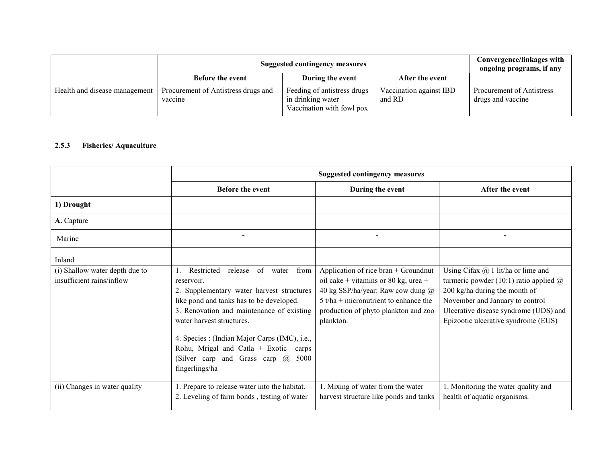|                               | <b>Suggested contingency measures</b>          |                                                                               |                                   | Convergence/linkages with<br>ongoing programs, if any |
|-------------------------------|------------------------------------------------|-------------------------------------------------------------------------------|-----------------------------------|-------------------------------------------------------|
|                               | <b>Before the event</b>                        | During the event                                                              | After the event                   |                                                       |
| Health and disease management | Procurement of Antistress drugs and<br>vaccine | Feeding of antistress drugs<br>in drinking water<br>Vaccination with fowl pox | Vaccination against IBD<br>and RD | Procurement of Antistress<br>drugs and vaccine        |

## 2.5.3 Fisheries/ Aquaculture

|                                                             | <b>Suggested contingency measures</b>                                                                                                                                                                                                                                                                                                                                                       |                                                                                                                                                                                                                   |                                                                                                                                                                                                                                             |
|-------------------------------------------------------------|---------------------------------------------------------------------------------------------------------------------------------------------------------------------------------------------------------------------------------------------------------------------------------------------------------------------------------------------------------------------------------------------|-------------------------------------------------------------------------------------------------------------------------------------------------------------------------------------------------------------------|---------------------------------------------------------------------------------------------------------------------------------------------------------------------------------------------------------------------------------------------|
|                                                             | <b>Before the event</b>                                                                                                                                                                                                                                                                                                                                                                     | During the event                                                                                                                                                                                                  | After the event                                                                                                                                                                                                                             |
| 1) Drought                                                  |                                                                                                                                                                                                                                                                                                                                                                                             |                                                                                                                                                                                                                   |                                                                                                                                                                                                                                             |
| A. Capture                                                  |                                                                                                                                                                                                                                                                                                                                                                                             |                                                                                                                                                                                                                   |                                                                                                                                                                                                                                             |
| Marine                                                      |                                                                                                                                                                                                                                                                                                                                                                                             |                                                                                                                                                                                                                   | $\overline{\phantom{a}}$                                                                                                                                                                                                                    |
| Inland                                                      |                                                                                                                                                                                                                                                                                                                                                                                             |                                                                                                                                                                                                                   |                                                                                                                                                                                                                                             |
| (i) Shallow water depth due to<br>insufficient rains/inflow | of water<br>from<br>Restricted<br>release<br>reservoir.<br>2. Supplementary water harvest structures<br>like pond and tanks has to be developed.<br>3. Renovation and maintenance of existing<br>water harvest structures.<br>4. Species : (Indian Major Carps (IMC), i.e.,<br>Rohu, Mrigal and Catla + Exotic<br>carps<br>(Silver carp and Grass carp $\omega$ )<br>5000<br>fingerlings/ha | Application of rice bran + Groundnut<br>oil cake + vitamins or 80 kg, urea +<br>40 kg SSP/ha/year: Raw cow dung @<br>$5$ t/ha + micronutrient to enhance the<br>production of phyto plankton and zoo<br>plankton. | Using Cifax $(a)$ 1 lit/ha or lime and<br>turmeric powder (10:1) ratio applied $\omega$<br>200 kg/ha during the month of<br>November and January to control<br>Ulcerative disease syndrome (UDS) and<br>Epizootic ulcerative syndrome (EUS) |
| (ii) Changes in water quality                               | 1. Prepare to release water into the habitat.<br>2. Leveling of farm bonds, testing of water                                                                                                                                                                                                                                                                                                | 1. Mixing of water from the water<br>harvest structure like ponds and tanks                                                                                                                                       | 1. Monitoring the water quality and<br>health of aquatic organisms.                                                                                                                                                                         |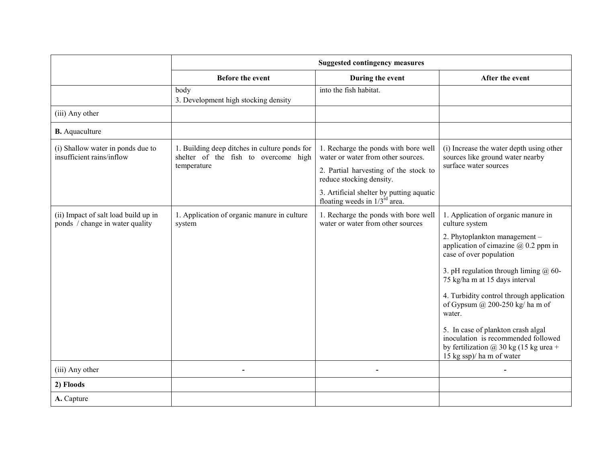|                                                                         | <b>Suggested contingency measures</b>                                                                |                                                                                                                                                                                                                                   |                                                                                                                                                                                                                                                                                                                                                                                                                                                                                                        |
|-------------------------------------------------------------------------|------------------------------------------------------------------------------------------------------|-----------------------------------------------------------------------------------------------------------------------------------------------------------------------------------------------------------------------------------|--------------------------------------------------------------------------------------------------------------------------------------------------------------------------------------------------------------------------------------------------------------------------------------------------------------------------------------------------------------------------------------------------------------------------------------------------------------------------------------------------------|
|                                                                         | <b>Before the event</b>                                                                              | During the event                                                                                                                                                                                                                  | After the event                                                                                                                                                                                                                                                                                                                                                                                                                                                                                        |
|                                                                         | body<br>3. Development high stocking density                                                         | into the fish habitat.                                                                                                                                                                                                            |                                                                                                                                                                                                                                                                                                                                                                                                                                                                                                        |
| (iii) Any other                                                         |                                                                                                      |                                                                                                                                                                                                                                   |                                                                                                                                                                                                                                                                                                                                                                                                                                                                                                        |
| <b>B.</b> Aquaculture                                                   |                                                                                                      |                                                                                                                                                                                                                                   |                                                                                                                                                                                                                                                                                                                                                                                                                                                                                                        |
| (i) Shallow water in ponds due to<br>insufficient rains/inflow          | 1. Building deep ditches in culture ponds for<br>shelter of the fish to overcome high<br>temperature | 1. Recharge the ponds with bore well<br>water or water from other sources.<br>2. Partial harvesting of the stock to<br>reduce stocking density.<br>3. Artificial shelter by putting aquatic<br>floating weeds in $1/3^{rd}$ area. | (i) Increase the water depth using other<br>sources like ground water nearby<br>surface water sources                                                                                                                                                                                                                                                                                                                                                                                                  |
| (ii) Impact of salt load build up in<br>ponds / change in water quality | 1. Application of organic manure in culture<br>system                                                | 1. Recharge the ponds with bore well<br>water or water from other sources                                                                                                                                                         | 1. Application of organic manure in<br>culture system<br>2. Phytoplankton management -<br>application of cimazine $\omega$ 0.2 ppm in<br>case of over population<br>3. pH regulation through liming $\omega$ 60-<br>75 kg/ha m at 15 days interval<br>4. Turbidity control through application<br>of Gypsum @ 200-250 kg/ ha m of<br>water.<br>5. In case of plankton crash algal<br>inoculation is recommended followed<br>by fertilization $\omega$ 30 kg (15 kg urea +<br>15 kg ssp)/ ha m of water |
| (iii) Any other                                                         |                                                                                                      |                                                                                                                                                                                                                                   |                                                                                                                                                                                                                                                                                                                                                                                                                                                                                                        |
| 2) Floods                                                               |                                                                                                      |                                                                                                                                                                                                                                   |                                                                                                                                                                                                                                                                                                                                                                                                                                                                                                        |
| A. Capture                                                              |                                                                                                      |                                                                                                                                                                                                                                   |                                                                                                                                                                                                                                                                                                                                                                                                                                                                                                        |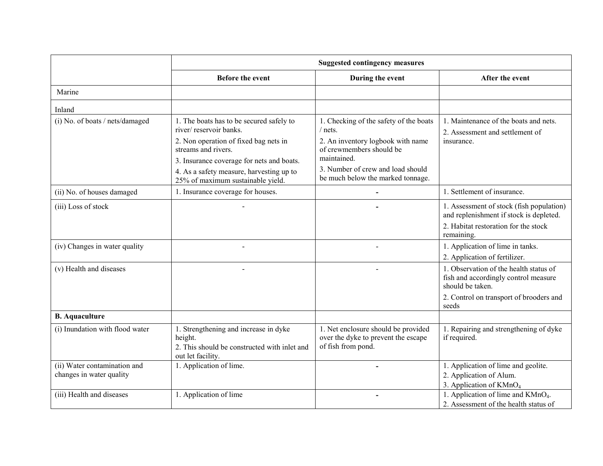|                                                          | <b>Suggested contingency measures</b>                                                                                                                                                                                       |                                                                                                                                                                        |                                                                                                                                                        |
|----------------------------------------------------------|-----------------------------------------------------------------------------------------------------------------------------------------------------------------------------------------------------------------------------|------------------------------------------------------------------------------------------------------------------------------------------------------------------------|--------------------------------------------------------------------------------------------------------------------------------------------------------|
|                                                          | <b>Before the event</b>                                                                                                                                                                                                     | During the event                                                                                                                                                       | After the event                                                                                                                                        |
| Marine                                                   |                                                                                                                                                                                                                             |                                                                                                                                                                        |                                                                                                                                                        |
| Inland                                                   |                                                                                                                                                                                                                             |                                                                                                                                                                        |                                                                                                                                                        |
| (i) No. of boats / nets/damaged                          | 1. The boats has to be secured safely to<br>river/reservoir banks.<br>2. Non operation of fixed bag nets in<br>streams and rivers.<br>3. Insurance coverage for nets and boats.<br>4. As a safety measure, harvesting up to | 1. Checking of the safety of the boats<br>/ nets.<br>2. An inventory logbook with name<br>of crewmembers should be<br>maintained.<br>3. Number of crew and load should | 1. Maintenance of the boats and nets.<br>2. Assessment and settlement of<br>insurance.                                                                 |
|                                                          | 25% of maximum sustainable yield.                                                                                                                                                                                           | be much below the marked tonnage.                                                                                                                                      |                                                                                                                                                        |
| (ii) No. of houses damaged                               | 1. Insurance coverage for houses.                                                                                                                                                                                           |                                                                                                                                                                        | 1. Settlement of insurance.                                                                                                                            |
| (iii) Loss of stock                                      |                                                                                                                                                                                                                             |                                                                                                                                                                        | 1. Assessment of stock (fish population)<br>and replenishment if stock is depleted.<br>2. Habitat restoration for the stock                            |
| (iv) Changes in water quality                            |                                                                                                                                                                                                                             |                                                                                                                                                                        | remaining.<br>1. Application of lime in tanks.                                                                                                         |
|                                                          |                                                                                                                                                                                                                             |                                                                                                                                                                        | 2. Application of fertilizer.                                                                                                                          |
| (v) Health and diseases                                  |                                                                                                                                                                                                                             |                                                                                                                                                                        | 1. Observation of the health status of<br>fish and accordingly control measure<br>should be taken.<br>2. Control on transport of brooders and<br>seeds |
| <b>B.</b> Aquaculture                                    |                                                                                                                                                                                                                             |                                                                                                                                                                        |                                                                                                                                                        |
| (i) Inundation with flood water                          | 1. Strengthening and increase in dyke<br>height.<br>2. This should be constructed with inlet and<br>out let facility.                                                                                                       | 1. Net enclosure should be provided<br>over the dyke to prevent the escape<br>of fish from pond.                                                                       | 1. Repairing and strengthening of dyke<br>if required.                                                                                                 |
| (ii) Water contamination and<br>changes in water quality | 1. Application of lime.                                                                                                                                                                                                     |                                                                                                                                                                        | 1. Application of lime and geolite.<br>2. Application of Alum.<br>3. Application of KMnO <sub>4</sub>                                                  |
| (iii) Health and diseases                                | 1. Application of lime                                                                                                                                                                                                      |                                                                                                                                                                        | 1. Application of lime and KMnO <sub>4</sub> .<br>2. Assessment of the health status of                                                                |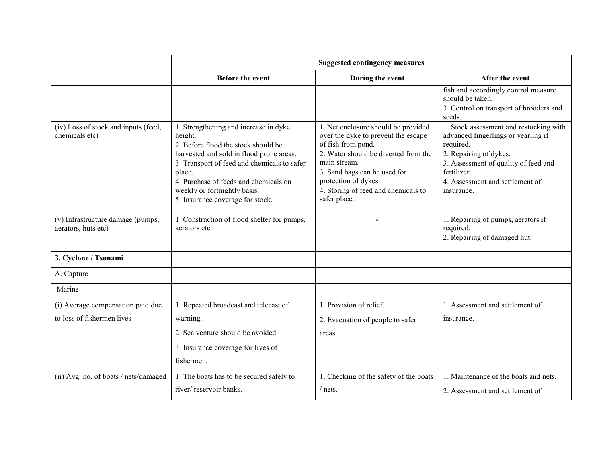|                                                                 | <b>Suggested contingency measures</b>                                                                                                                                                                                                                                                                     |                                                                                                                                                                                                                                                                         |                                                                                                                                                                                                                               |
|-----------------------------------------------------------------|-----------------------------------------------------------------------------------------------------------------------------------------------------------------------------------------------------------------------------------------------------------------------------------------------------------|-------------------------------------------------------------------------------------------------------------------------------------------------------------------------------------------------------------------------------------------------------------------------|-------------------------------------------------------------------------------------------------------------------------------------------------------------------------------------------------------------------------------|
|                                                                 | <b>Before the event</b>                                                                                                                                                                                                                                                                                   | During the event                                                                                                                                                                                                                                                        | After the event                                                                                                                                                                                                               |
|                                                                 |                                                                                                                                                                                                                                                                                                           |                                                                                                                                                                                                                                                                         | fish and accordingly control measure<br>should be taken.<br>3. Control on transport of brooders and<br>seeds.                                                                                                                 |
| (iv) Loss of stock and inputs (feed,<br>chemicals etc)          | 1. Strengthening and increase in dyke<br>height.<br>2. Before flood the stock should be<br>harvested and sold in flood prone areas.<br>3. Transport of feed and chemicals to safer<br>place.<br>4. Purchase of feeds and chemicals on<br>weekly or fortnightly basis.<br>5. Insurance coverage for stock. | 1. Net enclosure should be provided<br>over the dyke to prevent the escape<br>of fish from pond.<br>2. Water should be diverted from the<br>main stream.<br>3. Sand bags can be used for<br>protection of dykes.<br>4. Storing of feed and chemicals to<br>safer place. | 1. Stock assessment and restocking with<br>advanced fingerlings or yearling if<br>required.<br>2. Repairing of dykes.<br>3. Assessment of quality of feed and<br>fertilizer.<br>4. Assessment and settlement of<br>insurance. |
| (v) Infrastructure damage (pumps,<br>aerators, huts etc)        | 1. Construction of flood shelter for pumps,<br>aerators etc.                                                                                                                                                                                                                                              |                                                                                                                                                                                                                                                                         | 1. Repairing of pumps, aerators if<br>required.<br>2. Repairing of damaged hut.                                                                                                                                               |
| 3. Cyclone / Tsunami                                            |                                                                                                                                                                                                                                                                                                           |                                                                                                                                                                                                                                                                         |                                                                                                                                                                                                                               |
| A. Capture                                                      |                                                                                                                                                                                                                                                                                                           |                                                                                                                                                                                                                                                                         |                                                                                                                                                                                                                               |
| Marine                                                          |                                                                                                                                                                                                                                                                                                           |                                                                                                                                                                                                                                                                         |                                                                                                                                                                                                                               |
| (i) Average compensation paid due<br>to loss of fishermen lives | 1. Repeated broadcast and telecast of<br>warning.<br>2. Sea venture should be avoided<br>3. Insurance coverage for lives of<br>fishermen.                                                                                                                                                                 | 1. Provision of relief.<br>2. Evacuation of people to safer<br>areas.                                                                                                                                                                                                   | 1. Assessment and settlement of<br>insurance.                                                                                                                                                                                 |
| (ii) Avg. no. of boats / nets/damaged                           | 1. The boats has to be secured safely to<br>river/reservoir banks.                                                                                                                                                                                                                                        | 1. Checking of the safety of the boats<br>$/$ nets.                                                                                                                                                                                                                     | 1. Maintenance of the boats and nets.<br>2. Assessment and settlement of                                                                                                                                                      |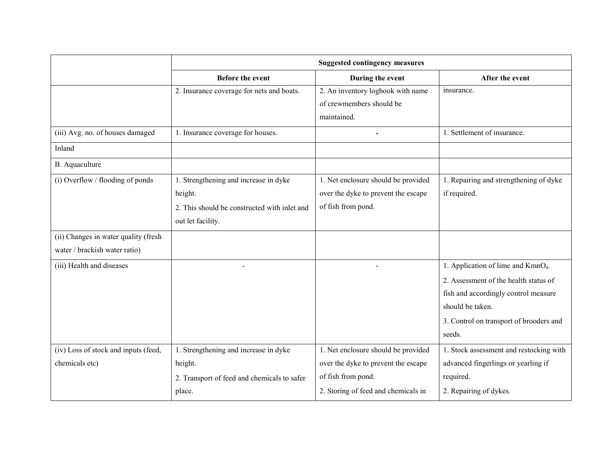|                                                                       | <b>Suggested contingency measures</b>                                                                                 |                                                                                                                                         |                                                                                                                                                                                                          |
|-----------------------------------------------------------------------|-----------------------------------------------------------------------------------------------------------------------|-----------------------------------------------------------------------------------------------------------------------------------------|----------------------------------------------------------------------------------------------------------------------------------------------------------------------------------------------------------|
|                                                                       | <b>Before the event</b>                                                                                               | During the event                                                                                                                        | After the event                                                                                                                                                                                          |
|                                                                       | 2. Insurance coverage for nets and boats.                                                                             | 2. An inventory logbook with name<br>of crewmembers should be<br>maintained.                                                            | insurance.                                                                                                                                                                                               |
| (iii) Avg. no. of houses damaged                                      | 1. Insurance coverage for houses.                                                                                     |                                                                                                                                         | 1. Settlement of insurance.                                                                                                                                                                              |
| Inland                                                                |                                                                                                                       |                                                                                                                                         |                                                                                                                                                                                                          |
| <b>B.</b> Aquaculture                                                 |                                                                                                                       |                                                                                                                                         |                                                                                                                                                                                                          |
| (i) Overflow / flooding of ponds                                      | 1. Strengthening and increase in dyke<br>height.<br>2. This should be constructed with inlet and<br>out let facility. | 1. Net enclosure should be provided<br>over the dyke to prevent the escape<br>of fish from pond.                                        | 1. Repairing and strengthening of dyke<br>if required.                                                                                                                                                   |
| (ii) Changes in water quality (fresh<br>water / brackish water ratio) |                                                                                                                       |                                                                                                                                         |                                                                                                                                                                                                          |
| (iii) Health and diseases                                             |                                                                                                                       |                                                                                                                                         | 1. Application of lime and KmnO <sub>4</sub> .<br>2. Assessment of the health status of<br>fish and accordingly control measure<br>should be taken.<br>3. Control on transport of brooders and<br>seeds. |
| (iv) Loss of stock and inputs (feed,<br>chemicals etc)                | 1. Strengthening and increase in dyke<br>height.<br>2. Transport of feed and chemicals to safer<br>place.             | 1. Net enclosure should be provided<br>over the dyke to prevent the escape<br>of fish from pond.<br>2. Storing of feed and chemicals in | 1. Stock assessment and restocking with<br>advanced fingerlings or yearling if<br>required.<br>2. Repairing of dykes.                                                                                    |